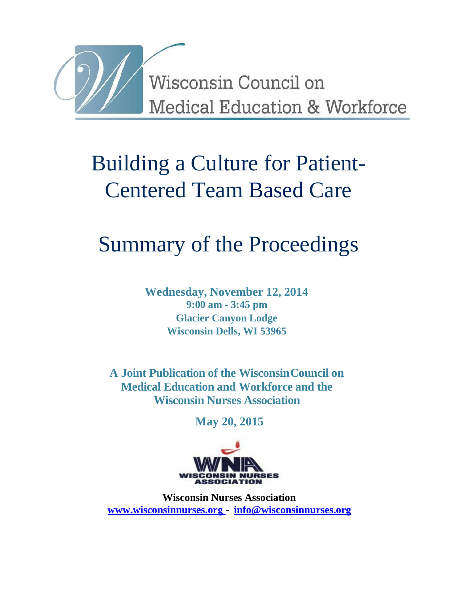

# Building a Culture for Patient-Centered Team Based Care

# Summary of the Proceedings

**Wednesday, November 12, 2014 9:00 am - 3:45 pm Glacier Canyon Lodge Wisconsin Dells, WI 53965**

**A Joint Publication of the WisconsinCouncil on Medical Education and Workforce and the Wisconsin Nurses Association**

**May 20, 2015**



**Wisconsin Nurses Association [www.wisconsinnurses.org -](http://www.wisconsinnurses.org/) [info@wisconsinnurses.org](mailto:info@wisconsinnurses.org)**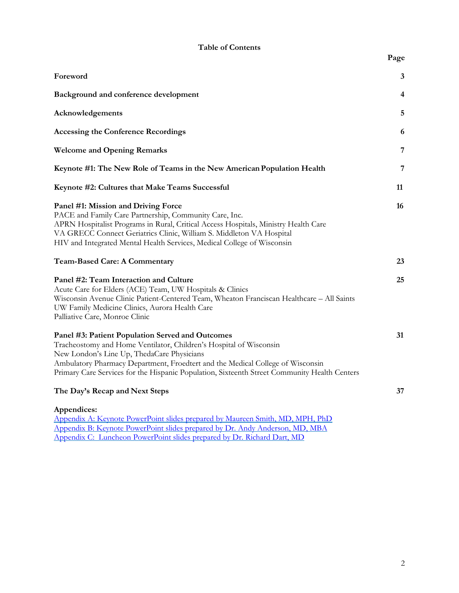|  |  | <b>Table of Contents</b> |
|--|--|--------------------------|
|--|--|--------------------------|

| Foreword                                                                                                                                                                                                                                                                                                                                               | 3                       |
|--------------------------------------------------------------------------------------------------------------------------------------------------------------------------------------------------------------------------------------------------------------------------------------------------------------------------------------------------------|-------------------------|
| Background and conference development                                                                                                                                                                                                                                                                                                                  | $\overline{\mathbf{4}}$ |
| Acknowledgements                                                                                                                                                                                                                                                                                                                                       | 5                       |
| <b>Accessing the Conference Recordings</b>                                                                                                                                                                                                                                                                                                             | 6                       |
| <b>Welcome and Opening Remarks</b>                                                                                                                                                                                                                                                                                                                     | $\overline{7}$          |
| Keynote #1: The New Role of Teams in the New American Population Health                                                                                                                                                                                                                                                                                | 7                       |
| Keynote #2: Cultures that Make Teams Successful                                                                                                                                                                                                                                                                                                        | 11                      |
| Panel #1: Mission and Driving Force<br>PACE and Family Care Partnership, Community Care, Inc.<br>APRN Hospitalist Programs in Rural, Critical Access Hospitals, Ministry Health Care<br>VA GRECC Connect Geriatrics Clinic, William S. Middleton VA Hospital<br>HIV and Integrated Mental Health Services, Medical College of Wisconsin                | 16                      |
| <b>Team-Based Care: A Commentary</b>                                                                                                                                                                                                                                                                                                                   | 23                      |
| Panel #2: Team Interaction and Culture<br>Acute Care for Elders (ACE) Team, UW Hospitals & Clinics<br>Wisconsin Avenue Clinic Patient-Centered Team, Wheaton Franciscan Healthcare - All Saints<br>UW Family Medicine Clinics, Aurora Health Care<br>Palliative Care, Monroe Clinic                                                                    | 25                      |
| Panel #3: Patient Population Served and Outcomes<br>Tracheostomy and Home Ventilator, Children's Hospital of Wisconsin<br>New London's Line Up, ThedaCare Physicians<br>Ambulatory Pharmacy Department, Froedtert and the Medical College of Wisconsin<br>Primary Care Services for the Hispanic Population, Sixteenth Street Community Health Centers | 31                      |
| The Day's Recap and Next Steps                                                                                                                                                                                                                                                                                                                         | 37                      |
| Appendices:<br>Appendix A: Keynote PowerPoint slides prepared by Maureen Smith, MD, MPH, PhD<br>Appendix B: Keynote PowerPoint slides prepared by Dr. Andy Anderson, MD, MBA<br>Appendix C: Luncheon PowerPoint slides prepared by Dr. Richard Dart, MD                                                                                                |                         |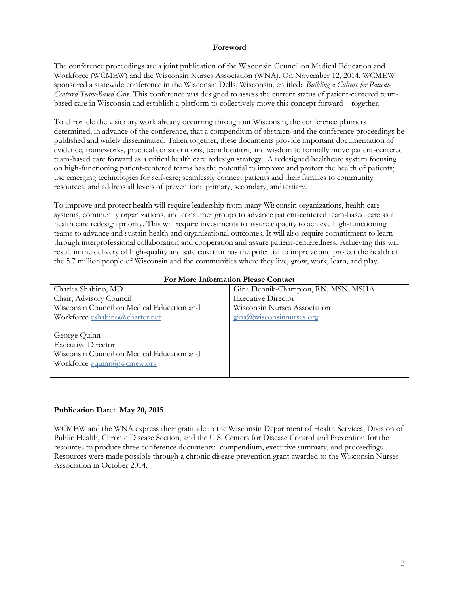#### **Foreword**

<span id="page-2-0"></span>The conference proceedings are a joint publication of the Wisconsin Council on Medical Education and Workforce (WCMEW) and the Wisconsin Nurses Association (WNA). On November 12, 2014, WCMEW sponsored a statewide conference in the Wisconsin Dells, Wisconsin, entitled: *Building a Culture for Patient-Centered Team-Based Care*. This conference was designed to assess the current status of patient-centered teambased care in Wisconsin and establish a platform to collectively move this concept forward – together.

To chronicle the visionary work already occurring throughout Wisconsin, the conference planners determined, in advance of the conference, that a compendium of abstracts and the conference proceedings be published and widely disseminated. Taken together, these documents provide important documentation of evidence, frameworks, practical considerations, team location, and wisdom to formally move patient-centered team-based care forward as a critical health care redesign strategy. A redesigned healthcare system focusing on high-functioning patient-centered teams has the potential to improve and protect the health of patients; use emerging technologies for self-care; seamlessly connect patients and their families to community resources; and address all levels of prevention: primary, secondary, and tertiary.

To improve and protect health will require leadership from many Wisconsin organizations, health care systems, community organizations, and consumer groups to advance patient-centered team-based care as a health care redesign priority. This will require investments to assure capacity to achieve high-functioning teams to advance and sustain health and organizational outcomes. It will also require commitment to learn through interprofessional collaboration and cooperation and assure patient-centeredness. Achieving this will result in the delivery of high-quality and safe care that has the potential to improve and protect the health of the 5.7 million people of Wisconsin and the communities where they live, grow, work, learn, and play.

| For More Information Please Contact        |                                          |  |
|--------------------------------------------|------------------------------------------|--|
| Charles Shabino, MD                        | Gina Dennik-Champion, RN, MSN, MSHA      |  |
| Chair, Advisory Council                    | <b>Executive Director</b>                |  |
| Wisconsin Council on Medical Education and | Wisconsin Nurses Association             |  |
| Workforce cshabino@charter.net             | $\frac{\text{gina}(a)}{\text{wisconsin}$ |  |
|                                            |                                          |  |
| George Quinn                               |                                          |  |
| <b>Executive Director</b>                  |                                          |  |
| Wisconsin Council on Medical Education and |                                          |  |
| Workforce gquinn@wcmew.org                 |                                          |  |
|                                            |                                          |  |

## **For More Information Please Contact**

## **Publication Date: May 20, 2015**

WCMEW and the WNA express their gratitude to the Wisconsin Department of Health Services, Division of Public Health, Chronic Disease Section, and the U.S. Centers for Disease Control and Prevention for the resources to produce three conference documents: compendium, executive summary, and proceedings. Resources were made possible through a chronic disease prevention grant awarded to the Wisconsin Nurses Association in October 2014.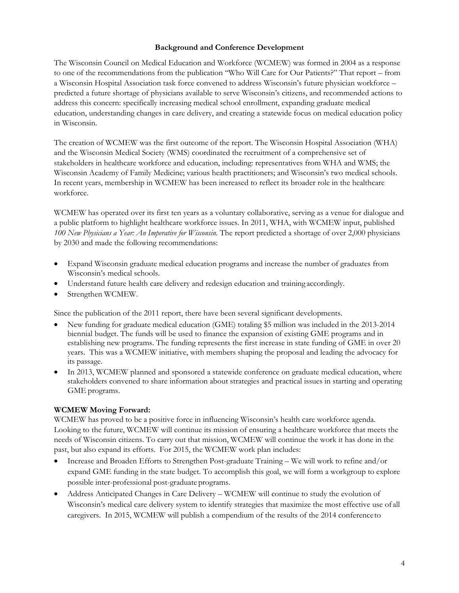## **Background and Conference Development**

<span id="page-3-0"></span>The Wisconsin Council on Medical Education and Workforce (WCMEW) was formed in 2004 as a response to one of the recommendations from the publication "Who Will Care for Our Patients?" That report – from a Wisconsin Hospital Association task force convened to address Wisconsin's future physician workforce – predicted a future shortage of physicians available to serve Wisconsin's citizens, and recommended actions to address this concern: specifically increasing medical school enrollment, expanding graduate medical education, understanding changes in care delivery, and creating a statewide focus on medical education policy in Wisconsin.

The creation of WCMEW was the first outcome of the report. The Wisconsin Hospital Association (WHA) and the Wisconsin Medical Society (WMS) coordinated the recruitment of a comprehensive set of stakeholders in healthcare workforce and education, including: representatives from WHA and WMS; the Wisconsin Academy of Family Medicine; various health practitioners; and Wisconsin's two medical schools. In recent years, membership in WCMEW has been increased to reflect its broader role in the healthcare workforce.

WCMEW has operated over its first ten years as a voluntary collaborative, serving as a venue for dialogue and a public platform to highlight healthcare workforce issues. In 2011, WHA, with WCMEW input, published *100 New Physicians a Year: An Imperative for Wisconsin.* The report predicted a shortage of over 2,000 physicians by 2030 and made the following recommendations:

- Expand Wisconsin graduate medical education programs and increase the number of graduates from Wisconsin's medical schools.
- Understand future health care delivery and redesign education and training accordingly.
- Strengthen WCMEW.

Since the publication of the 2011 report, there have been several significant developments.

- New funding for graduate medical education (GME) totaling \$5 million was included in the 2013-2014 biennial budget. The funds will be used to finance the expansion of existing GME programs and in establishing new programs. The funding represents the first increase in state funding of GME in over 20 years. This was a WCMEW initiative, with members shaping the proposal and leading the advocacy for its passage.
- In 2013, WCMEW planned and sponsored a statewide conference on graduate medical education, where stakeholders convened to share information about strategies and practical issues in starting and operating GME programs.

# **WCMEW Moving Forward:**

WCMEW has proved to be a positive force in influencing Wisconsin's health care workforce agenda. Looking to the future, WCMEW will continue its mission of ensuring a healthcare workforce that meets the needs of Wisconsin citizens. To carry out that mission, WCMEW will continue the work it has done in the past, but also expand its efforts. For 2015, the WCMEW work plan includes:

- Increase and Broaden Efforts to Strengthen Post-graduate Training We will work to refine and/or expand GME funding in the state budget. To accomplish this goal, we will form a workgroup to explore possible inter-professional post-graduate programs.
- Address Anticipated Changes in Care Delivery WCMEW will continue to study the evolution of Wisconsin's medical care delivery system to identify strategies that maximize the most effective use of all caregivers. In 2015, WCMEW will publish a compendium of the results of the 2014 conferenceto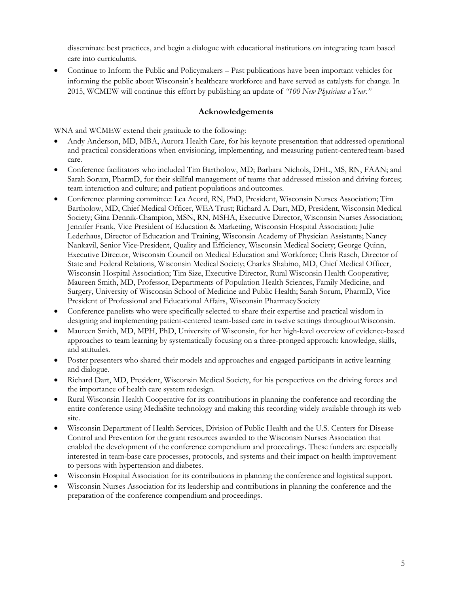disseminate best practices, and begin a dialogue with educational institutions on integrating team based care into curriculums.

 Continue to Inform the Public and Policymakers – Past publications have been important vehicles for informing the public about Wisconsin's healthcare workforce and have served as catalysts for change. In 2015, WCMEW will continue this effort by publishing an update of *"100 New Physicians aYear."*

## **Acknowledgements**

<span id="page-4-0"></span>WNA and WCMEW extend their gratitude to the following:

- Andy Anderson, MD, MBA, Aurora Health Care, for his keynote presentation that addressed operational and practical considerations when envisioning, implementing, and measuring patient-centeredteam-based care.
- Conference facilitators who included Tim Bartholow, MD; Barbara Nichols, DHL, MS, RN, FAAN; and Sarah Sorum, PharmD, for their skillful management of teams that addressed mission and driving forces; team interaction and culture; and patient populations andoutcomes.
- Conference planning committee: Lea Acord, RN, PhD, President, Wisconsin Nurses Association; Tim Bartholow, MD, Chief Medical Officer, WEA Trust; Richard A. Dart, MD, President, Wisconsin Medical Society; Gina Dennik-Champion, MSN, RN, MSHA, Executive Director, Wisconsin Nurses Association; Jennifer Frank, Vice President of Education & Marketing, Wisconsin Hospital Association; Julie Lederhaus, Director of Education and Training, Wisconsin Academy of Physician Assistants; Nancy Nankavil, Senior Vice-President, Quality and Efficiency, Wisconsin Medical Society; George Quinn, Executive Director, Wisconsin Council on Medical Education and Workforce; Chris Rasch, Director of State and Federal Relations, Wisconsin Medical Society; Charles Shabino, MD, Chief Medical Officer, Wisconsin Hospital Association; Tim Size, Executive Director, Rural Wisconsin Health Cooperative; Maureen Smith, MD, Professor, Departments of Population Health Sciences, Family Medicine, and Surgery, University of Wisconsin School of Medicine and Public Health; Sarah Sorum, PharmD, Vice President of Professional and Educational Affairs, Wisconsin Pharmacy Society
- Conference panelists who were specifically selected to share their expertise and practical wisdom in designing and implementing patient-centered team-based care in twelve settings throughoutWisconsin.
- Maureen Smith, MD, MPH, PhD, University of Wisconsin, for her high-level overview of evidence-based approaches to team learning by systematically focusing on a three-pronged approach: knowledge, skills, and attitudes.
- Poster presenters who shared their models and approaches and engaged participants in active learning and dialogue.
- Richard Dart, MD, President, Wisconsin Medical Society, for his perspectives on the driving forces and the importance of health care system redesign.
- Rural Wisconsin Health Cooperative for its contributions in planning the conference and recording the entire conference using MediaSite technology and making this recording widely available through its web site.
- Wisconsin Department of Health Services, Division of Public Health and the U.S. Centers for Disease Control and Prevention for the grant resources awarded to the Wisconsin Nurses Association that enabled the development of the conference compendium and proceedings. These funders are especially interested in team-base care processes, protocols, and systems and their impact on health improvement to persons with hypertension and diabetes.
- Wisconsin Hospital Association for its contributions in planning the conference and logistical support.
- Wisconsin Nurses Association for its leadership and contributions in planning the conference and the preparation of the conference compendium and proceedings.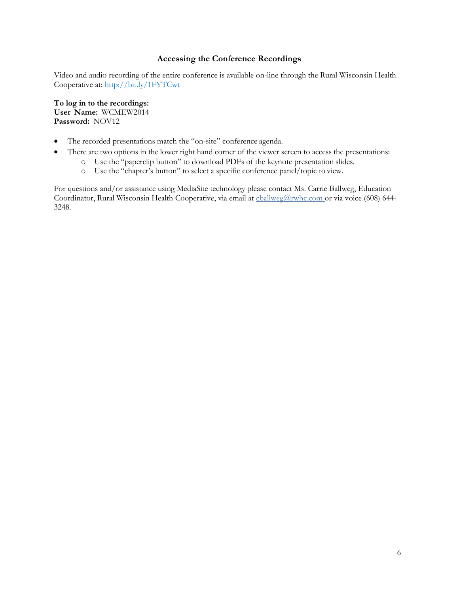## **Accessing the Conference Recordings**

<span id="page-5-0"></span>Video and audio recording of the entire conference is available on-line through the Rural Wisconsin Health Cooperative at:<http://bit.ly/1FYTCwt>

**To log in to the recordings: User Name:** WCMEW2014 **Password:** NOV12

- The recorded presentations match the "on-site" conference agenda.
- There are two options in the lower right hand corner of the viewer screen to access the presentations:
	- o Use the "paperclip button" to download PDFs of the keynote presentation slides.
	- o Use the "chapter's button" to select a specific conference panel/topic to view.

For questions and/or assistance using MediaSite technology please contact Ms. Carrie Ballweg, Education Coordinator, Rural Wisconsin Health Cooperative, via email at [cballweg@rwhc.com o](mailto:cballweg@rwhc.com)r via voice (608) 644- 3248.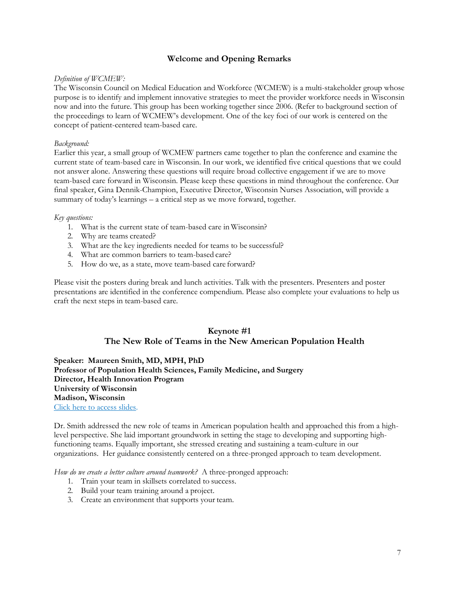## **Welcome and Opening Remarks**

#### <span id="page-6-0"></span>*Definition of WCMEW:*

The Wisconsin Council on Medical Education and Workforce (WCMEW) is a multi-stakeholder group whose purpose is to identify and implement innovative strategies to meet the provider workforce needs in Wisconsin now and into the future. This group has been working together since 2006. (Refer to background section of the proceedings to learn of WCMEW's development. One of the key foci of our work is centered on the concept of patient-centered team-based care.

#### *Background:*

Earlier this year, a small group of WCMEW partners came together to plan the conference and examine the current state of team-based care in Wisconsin. In our work, we identified five critical questions that we could not answer alone. Answering these questions will require broad collective engagement if we are to move team-based care forward in Wisconsin. Please keep these questions in mind throughout the conference. Our final speaker, Gina Dennik-Champion, Executive Director, Wisconsin Nurses Association, will provide a summary of today's learnings – a critical step as we move forward, together.

#### *Key questions:*

- 1. What is the current state of team-based care in Wisconsin?
- 2. Why are teams created?
- 3. What are the key ingredients needed for teams to be successful?
- 4. What are common barriers to team-based care?
- 5. How do we, as a state, move team-based care forward?

Please visit the posters during break and lunch activities. Talk with the presenters. Presenters and poster presentations are identified in the conference compendium. Please also complete your evaluations to help us craft the next steps in team-based care.

# **Keynote #1 The New Role of Teams in the New American Population Health**

**Speaker: Maureen Smith, MD, MPH, PhD Professor of Population Health Sciences, Family Medicine, and Surgery Director, Health Innovation Program University of Wisconsin Madison, Wisconsin**  [Click here to access slides.](http://higherlogicdownload.s3.amazonaws.com/WISCONSINNURSES/3730789b-02f7-4bdc-a6ed-332ba13003c9/UploadedImages/14TBCSmith.pdf)

Dr. Smith addressed the new role of teams in American population health and approached this from a highlevel perspective. She laid important groundwork in setting the stage to developing and supporting highfunctioning teams. Equally important, she stressed creating and sustaining a team-culture in our organizations. Her guidance consistently centered on a three-pronged approach to team development.

*How do we create a better culture around teamwork?* A three-pronged approach:

- 1. Train your team in skillsets correlated to success.
- 2. Build your team training around a project.
- 3. Create an environment that supports your team.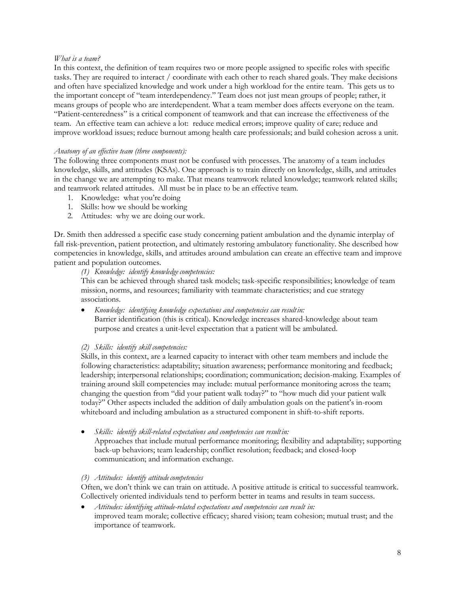#### *What is a team?*

In this context, the definition of team requires two or more people assigned to specific roles with specific tasks. They are required to interact / coordinate with each other to reach shared goals. They make decisions and often have specialized knowledge and work under a high workload for the entire team. This gets us to the important concept of "team interdependency." Team does not just mean groups of people; rather, it means groups of people who are interdependent. What a team member does affects everyone on the team. "Patient-centeredness" is a critical component of teamwork and that can increase the effectiveness of the team. An effective team can achieve a lot: reduce medical errors; improve quality of care; reduce and improve workload issues; reduce burnout among health care professionals; and build cohesion across a unit.

#### *Anatomy of an effective team (three components):*

The following three components must not be confused with processes. The anatomy of a team includes knowledge, skills, and attitudes (KSAs). One approach is to train directly on knowledge, skills, and attitudes in the change we are attempting to make. That means teamwork related knowledge; teamwork related skills; and teamwork related attitudes. All must be in place to be an effective team.

- 1. Knowledge: what you're doing
- 1. Skills: how we should be working
- 2. Attitudes: why we are doing our work.

Dr. Smith then addressed a specific case study concerning patient ambulation and the dynamic interplay of fall risk-prevention, patient protection, and ultimately restoring ambulatory functionality. She described how competencies in knowledge, skills, and attitudes around ambulation can create an effective team and improve patient and population outcomes.

*(1) Knowledge: identify knowledge competencies:*

This can be achieved through shared task models; task-specific responsibilities; knowledge of team mission, norms, and resources; familiarity with teammate characteristics; and cue strategy associations.

 *Knowledge: identifying knowledge expectations and competencies can resultin:* Barrier identification (this is critical). Knowledge increases shared-knowledge about team purpose and creates a unit-level expectation that a patient will be ambulated.

## *(2) Skills: identify skill competencies:*

Skills, in this context, are a learned capacity to interact with other team members and include the following characteristics: adaptability; situation awareness; performance monitoring and feedback; leadership; interpersonal relationships; coordination; communication; decision-making. Examples of training around skill competencies may include: mutual performance monitoring across the team; changing the question from "did your patient walk today?" to "how much did your patient walk today?" Other aspects included the addition of daily ambulation goals on the patient's in-room whiteboard and including ambulation as a structured component in shift-to-shift reports.

#### *Skills: identify skill-related expectations and competencies can resultin:*

Approaches that include mutual performance monitoring; flexibility and adaptability; supporting back-up behaviors; team leadership; conflict resolution; feedback; and closed-loop communication; and information exchange.

#### *(3) Attitudes: identify attitudecompetencies*

Often, we don't think we can train on attitude. A positive attitude is critical to successful teamwork. Collectively oriented individuals tend to perform better in teams and results in team success.

 *Attitudes: identifying attitude-related expectations and competencies can result in:* improved team morale; collective efficacy; shared vision; team cohesion; mutual trust; and the importance of teamwork.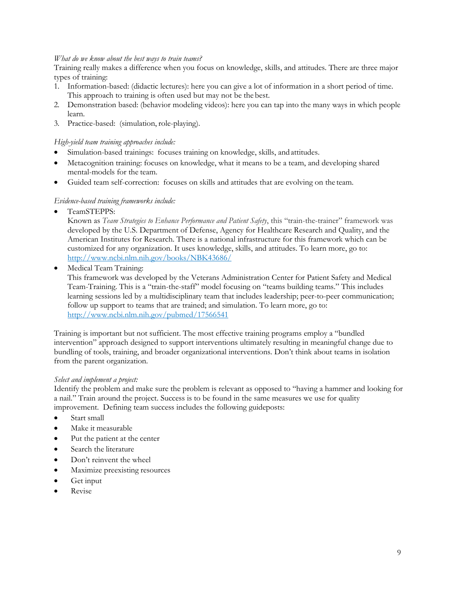#### *What do we know about the best ways to train teams?*

Training really makes a difference when you focus on knowledge, skills, and attitudes. There are three major types of training:

- 1. Information-based: (didactic lectures): here you can give a lot of information in a short period of time. This approach to training is often used but may not be the best.
- 2. Demonstration based: (behavior modeling videos): here you can tap into the many ways in which people learn.
- 3. Practice-based: (simulation, role-playing).

#### *High-yield team training approaches include:*

- Simulation-based trainings: focuses training on knowledge, skills, andattitudes.
- Metacognition training: focuses on knowledge, what it means to be a team, and developing shared mental-models for the team.
- Guided team self-correction: focuses on skills and attitudes that are evolving on the team.

#### *Evidence-based training frameworks include:*

TeamSTEPPS:

Known as *Team Strategies to Enhance Performance and Patient Safety*, this "train-the-trainer" framework was developed by the U.S. Department of Defense, Agency for Healthcare Research and Quality, and the American Institutes for Research. There is a national infrastructure for this framework which can be customized for any organization. It uses knowledge, skills, and attitudes. To learn more, go to: <http://www.ncbi.nlm.nih.gov/books/NBK43686/>

Medical Team Training:

This framework was developed by the Veterans Administration Center for Patient Safety and Medical Team-Training. This is a "train-the-staff" model focusing on "teams building teams." This includes learning sessions led by a multidisciplinary team that includes leadership; peer-to-peer communication; follow up support to teams that are trained; and simulation. To learn more, go to: <http://www.ncbi.nlm.nih.gov/pubmed/17566541>

Training is important but not sufficient. The most effective training programs employ a "bundled intervention" approach designed to support interventions ultimately resulting in meaningful change due to bundling of tools, training, and broader organizational interventions. Don't think about teams in isolation from the parent organization.

#### *Select and implement a project:*

Identify the problem and make sure the problem is relevant as opposed to "having a hammer and looking for a nail." Train around the project. Success is to be found in the same measures we use for quality improvement. Defining team success includes the following guideposts:

- Start small
- Make it measurable
- Put the patient at the center
- Search the literature
- Don't reinvent the wheel
- Maximize preexisting resources
- Get input
- Revise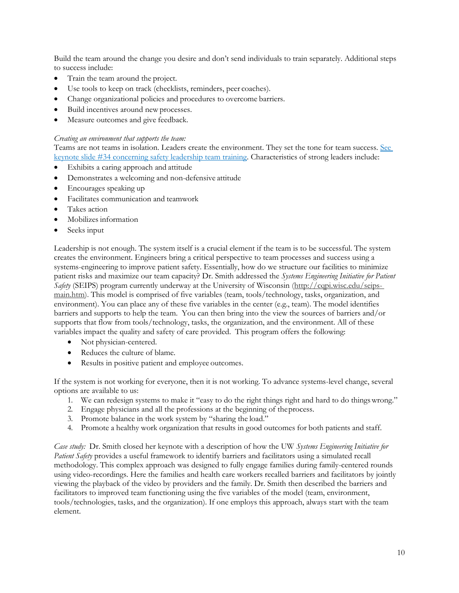Build the team around the change you desire and don't send individuals to train separately. Additional steps to success include:

- Train the team around the project.
- Use tools to keep on track (checklists, reminders, peer coaches).
- Change organizational policies and procedures to overcome barriers.
- Build incentives around newprocesses.
- Measure outcomes and give feedback.

#### *Creating an environment that supports the team:*

Teams are not teams in isolation. Leaders create the environment. They set the tone for team success. [See](http://higherlogicdownload.s3.amazonaws.com/WISCONSINNURSES/3730789b-02f7-4bdc-a6ed-332ba13003c9/UploadedImages/14TBCSmith.pdf) [keynote slide #34 concerning safety leadership team training.](http://higherlogicdownload.s3.amazonaws.com/WISCONSINNURSES/3730789b-02f7-4bdc-a6ed-332ba13003c9/UploadedImages/14TBCSmith.pdf) Characteristics of strong leaders include:

- Exhibits a caring approach and attitude
- Demonstrates a welcoming and non-defensive attitude
- Encourages speaking up
- Facilitates communication and teamwork
- Takes action
- Mobilizes information
- Seeks input

Leadership is not enough. The system itself is a crucial element if the team is to be successful. The system creates the environment. Engineers bring a critical perspective to team processes and success using a systems-engineering to improve patient safety. Essentially, how do we structure our facilities to minimize patient risks and maximize our team capacity? Dr. Smith addressed the *Systems Engineering Initiative for Patient Safety* (SEIPS) program currently underway at the University of Wisconsin [\(http://cqpi.wisc.edu/seips](http://cqpi.wisc.edu/seips-main.htm)[main.htm\).](http://cqpi.wisc.edu/seips-main.htm) This model is comprised of five variables (team, tools/technology, tasks, organization, and environment). You can place any of these five variables in the center (e.g., team). The model identifies barriers and supports to help the team. You can then bring into the view the sources of barriers and/or supports that flow from tools/technology, tasks, the organization, and the environment. All of these variables impact the quality and safety of care provided. This program offers the following:

- Not physician-centered.
- Reduces the culture of blame.
- Results in positive patient and employee outcomes.

If the system is not working for everyone, then it is not working. To advance systems-level change, several options are available to us:

- 1. We can redesign systems to make it "easy to do the right things right and hard to do thingswrong."
- 2. Engage physicians and all the professions at the beginning of theprocess.
- 3. Promote balance in the work system by "sharing the load."
- 4. Promote a healthy work organization that results in good outcomes for both patients and staff.

*Case study:* Dr. Smith closed her keynote with a description of how the UW *Systems Engineering Initiative for Patient Safety* provides a useful framework to identify barriers and facilitators using a simulated recall methodology. This complex approach was designed to fully engage families during family-centered rounds using video-recordings. Here the families and health care workers recalled barriers and facilitators by jointly viewing the playback of the video by providers and the family. Dr. Smith then described the barriers and facilitators to improved team functioning using the five variables of the model (team, environment, tools/technologies, tasks, and the organization). If one employs this approach, always start with the team element.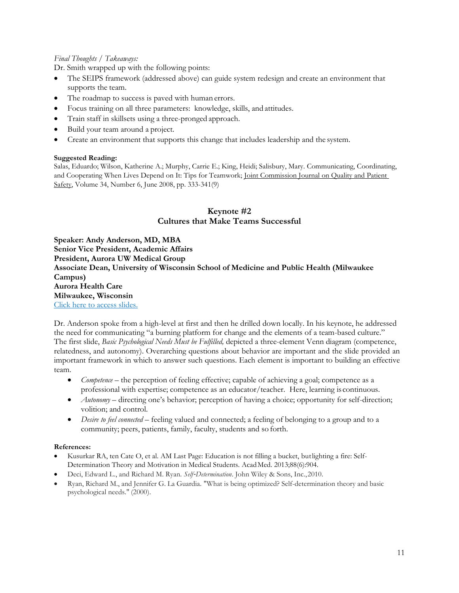## *Final Thoughts / Takeaways:*

Dr. Smith wrapped up with the following points:

- The SEIPS framework (addressed above) can guide system redesign and create an environment that supports the team.
- The roadmap to success is paved with human errors.
- Focus training on all three parameters: knowledge, skills, and attitudes.
- Train staff in skillsets using a three-pronged approach.
- Build your team around a project.
- Create an environment that supports this change that includes leadership and the system.

#### **Suggested Reading:**

Salas, Eduardo; Wilson, Katherine A.; Murphy, Carrie E.; King, Heidi; Salisbury, Mary. Communicating, Coordinating, and Cooperating When Lives Depend on It: Tips for Teamwork; [Joint Commission Journal on Quality and Patient](http://www.ingentaconnect.com/content/jcaho/jcjqs%3Bjsessionid%3D27s7vyopiprv.alice) [Safety,](http://www.ingentaconnect.com/content/jcaho/jcjqs%3Bjsessionid%3D27s7vyopiprv.alice) Volume 34, Number 6, June 2008, pp. 333-341(9)

## **Keynote #2 Cultures that Make Teams Successful**

**Speaker: Andy Anderson, MD, MBA Senior Vice President, Academic Affairs President, Aurora UW Medical Group Associate Dean, University of Wisconsin School of Medicine and Public Health (Milwaukee Campus) Aurora Health Care Milwaukee, Wisconsin**  [Click here to access slides.](http://higherlogicdownload.s3.amazonaws.com/WISCONSINNURSES/3730789b-02f7-4bdc-a6ed-332ba13003c9/UploadedImages/14TBCSmith.pdf)

Dr. Anderson spoke from a high-level at first and then he drilled down locally. In his keynote, he addressed the need for communicating "a burning platform for change and the elements of a team-based culture." The first slide, *Basic Psychological Needs Must be Fulfilled,* depicted a three-element Venn diagram (competence, relatedness, and autonomy). Overarching questions about behavior are important and the slide provided an important framework in which to answer such questions. Each element is important to building an effective team.

- *Competence* the perception of feeling effective; capable of achieving a goal; competence as a professional with expertise; competence as an educator/teacher. Here, learning is continuous.
- *Autonomy*  directing one's behavior; perception of having a choice; opportunity for self-direction; volition; and control.
- *Desire to feel connected*  feeling valued and connected; a feeling of belonging to a group and to a community; peers, patients, family, faculty, students and so forth.

#### **References:**

- Kusurkar RA, ten Cate O, et al. AM Last Page: Education is not filling a bucket, butlighting a fire: Self-Determination Theory and Motivation in Medical Students. AcadMed. 2013;88(6):904.
- Deci, Edward L., and Richard M. Ryan. *Self*‐*Determination*. John Wiley & Sons, Inc.,2010.
- Ryan, Richard M., and Jennifer G. La Guardia. "What is being optimized? Self-determination theory and basic psychological needs." (2000).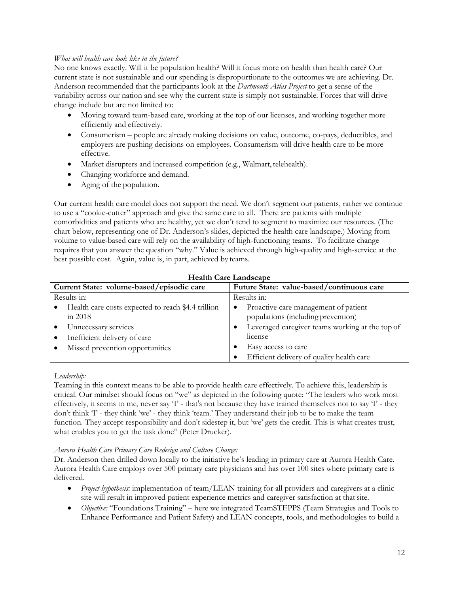## *What will health care look like in the future?*

No one knows exactly. Will it be population health? Will it focus more on health than health care? Our current state is not sustainable and our spending is disproportionate to the outcomes we are achieving. Dr. Anderson recommended that the participants look at the *Dartmouth Atlas Project* to get a sense of the variability across our nation and see why the current state is simply not sustainable. Forces that will drive change include but are not limited to:

- Moving toward team-based care, working at the top of our licenses, and working together more efficiently and effectively.
- Consumerism people are already making decisions on value, outcome, co-pays, deductibles, and employers are pushing decisions on employees. Consumerism will drive health care to be more effective.
- Market disrupters and increased competition (e.g., Walmart, telehealth).
- Changing workforce and demand.
- Aging of the population.

Our current health care model does not support the need. We don't segment our patients, rather we continue to use a "cookie-cutter" approach and give the same care to all. There are patients with multiple comorbidities and patients who are healthy, yet we don't tend to segment to maximize our resources. (The chart below, representing one of Dr. Anderson's slides, depicted the health care landscape.) Moving from volume to value-based care will rely on the availability of high-functioning teams. To facilitate change requires that you answer the question "why." Value is achieved through high-quality and high-service at the best possible cost. Again, value is, in part, achieved by teams.

| <b>Health Care Landscape</b>                                    |                                                                                         |  |  |
|-----------------------------------------------------------------|-----------------------------------------------------------------------------------------|--|--|
| Current State: volume-based/episodic care                       | Future State: value-based/continuous care                                               |  |  |
| Results in:                                                     | Results in:                                                                             |  |  |
| Health care costs expected to reach \$4.4 trillion<br>in $2018$ | Proactive care management of patient<br>$\bullet$<br>populations (including prevention) |  |  |
| Unnecessary services                                            | Leveraged caregiver teams working at the top of                                         |  |  |
| Inefficient delivery of care                                    | license                                                                                 |  |  |
| Missed prevention opportunities                                 | Easy access to care                                                                     |  |  |
|                                                                 | Efficient delivery of quality health care                                               |  |  |

# **Health Care Landscape**

## *Leadership:*

Teaming in this context means to be able to provide health care effectively. To achieve this, leadership is critical. Our mindset should focus on "we" as depicted in the following quote: "The leaders who work most effectively, it seems to me, never say 'I' - that's not because they have trained themselves not to say 'I' - they don't think 'I' - they think 'we' - they think 'team.' They understand their job to be to make the team function. They accept responsibility and don't sidestep it, but 'we' gets the credit. This is what creates trust, what enables you to get the task done" (Peter Drucker).

## *Aurora Health Care Primary Care Redesign and Culture Change:*

Dr. Anderson then drilled down locally to the initiative he's leading in primary care at Aurora Health Care. Aurora Health Care employs over 500 primary care physicians and has over 100 sites where primary care is delivered.

- *Project hypothesis:* implementation of team/LEAN training for all providers and caregivers at a clinic site will result in improved patient experience metrics and caregiver satisfaction at thatsite.
- *Objective:* "Foundations Training" here we integrated TeamSTEPPS (Team Strategies and Tools to Enhance Performance and Patient Safety) and LEAN concepts, tools, and methodologies to build a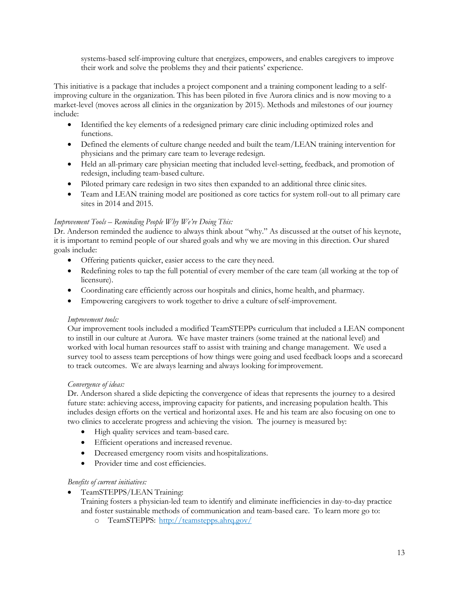systems-based self-improving culture that energizes, empowers, and enables caregivers to improve their work and solve the problems they and their patients' experience.

This initiative is a package that includes a project component and a training component leading to a selfimproving culture in the organization. This has been piloted in five Aurora clinics and is now moving to a market-level (moves across all clinics in the organization by 2015). Methods and milestones of our journey include:

- Identified the key elements of a redesigned primary care clinic including optimized roles and functions.
- Defined the elements of culture change needed and built the team/LEAN training intervention for physicians and the primary care team to leverage redesign.
- Held an all-primary care physician meeting that included level-setting, feedback, and promotion of redesign, including team-based culture.
- Piloted primary care redesign in two sites then expanded to an additional three clinic sites.
- Team and LEAN training model are positioned as core tactics for system roll-out to all primary care sites in 2014 and 2015.

# *Improvement Tools – Reminding People Why We're Doing This:*

Dr. Anderson reminded the audience to always think about "why." As discussed at the outset of his keynote, it is important to remind people of our shared goals and why we are moving in this direction. Our shared goals include:

- Offering patients quicker, easier access to the care they need.
- Redefining roles to tap the full potential of every member of the care team (all working at the top of licensure).
- Coordinating care efficiently across our hospitals and clinics, home health, and pharmacy.
- Empowering caregivers to work together to drive a culture ofself-improvement.

## *Improvement tools:*

Our improvement tools included a modified TeamSTEPPs curriculum that included a LEAN component to instill in our culture at Aurora. We have master trainers (some trained at the national level) and worked with local human resources staff to assist with training and change management. We used a survey tool to assess team perceptions of how things were going and used feedback loops and a scorecard to track outcomes. We are always learning and always looking forimprovement.

## *Convergence of ideas:*

Dr. Anderson shared a slide depicting the convergence of ideas that represents the journey to a desired future state: achieving access, improving capacity for patients, and increasing population health. This includes design efforts on the vertical and horizontal axes. He and his team are also focusing on one to two clinics to accelerate progress and achieving the vision. The journey is measured by:

- High quality services and team-based care.
- Efficient operations and increased revenue.
- Decreased emergency room visits and hospitalizations.
- Provider time and cost efficiencies.

## *Benefits of current initiatives:*

TeamSTEPPS/LEAN Training:

Training fosters a physician-led team to identify and eliminate inefficiencies in day-to-day practice and foster sustainable methods of communication and team-based care. To learn more go to:

o TeamSTEPPS: <http://teamstepps.ahrq.gov/>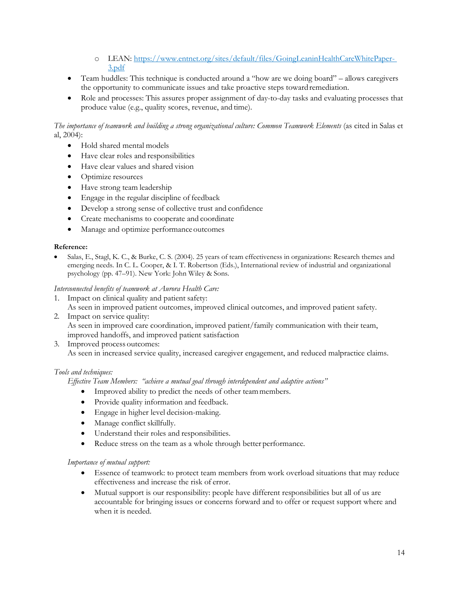- o LEAN: [https://www.entnet.org/sites/default/files/GoingLeaninHealthCareWhitePaper-](https://www.entnet.org/sites/default/files/GoingLeaninHealthCareWhitePaper-3.pdf)[3.pdf](https://www.entnet.org/sites/default/files/GoingLeaninHealthCareWhitePaper-3.pdf)
- Team huddles: This technique is conducted around a "how are we doing board" allows caregivers the opportunity to communicate issues and take proactive steps toward remediation.
- Role and processes: This assures proper assignment of day-to-day tasks and evaluating processes that produce value (e.g., quality scores, revenue, and time).

*The importance of teamwork and building a strong organizational culture: Common Teamwork Elements* (as cited in Salas et al, 2004):

- Hold shared mental models
- Have clear roles and responsibilities
- Have clear values and shared vision
- Optimize resources
- Have strong team leadership
- Engage in the regular discipline of feedback
- Develop a strong sense of collective trust and confidence
- Create mechanisms to cooperate and coordinate
- Manage and optimize performance outcomes

#### **Reference:**

 Salas, E., Stagl, K. C., & Burke, C. S. (2004). 25 years of team effectiveness in organizations: Research themes and emerging needs. In C. L. Cooper, & I. T. Robertson (Eds.), International review of industrial and organizational psychology (pp. 47–91). New York: John Wiley & Sons.

#### *Interconnected benefits of teamwork at Aurora Health Care:*

- 1. Impact on clinical quality and patient safety:
- As seen in improved patient outcomes, improved clinical outcomes, and improved patient safety.
- 2. Impact on service quality: As seen in improved care coordination, improved patient/family communication with their team, improved handoffs, and improved patient satisfaction
- 3. Improved process outcomes:

As seen in increased service quality, increased caregiver engagement, and reduced malpractice claims.

## *Tools and techniques:*

*Effective Team Members: "achieve a mutual goal through interdependent and adaptive actions"*

- Improved ability to predict the needs of other teammembers.
- Provide quality information and feedback.
- Engage in higher level decision-making.
- Manage conflict skillfully.
- Understand their roles and responsibilities.
- Reduce stress on the team as a whole through better performance.

## *Importance of mutual support:*

- Essence of teamwork: to protect team members from work overload situations that may reduce effectiveness and increase the risk of error.
- Mutual support is our responsibility: people have different responsibilities but all of us are accountable for bringing issues or concerns forward and to offer or request support where and when it is needed.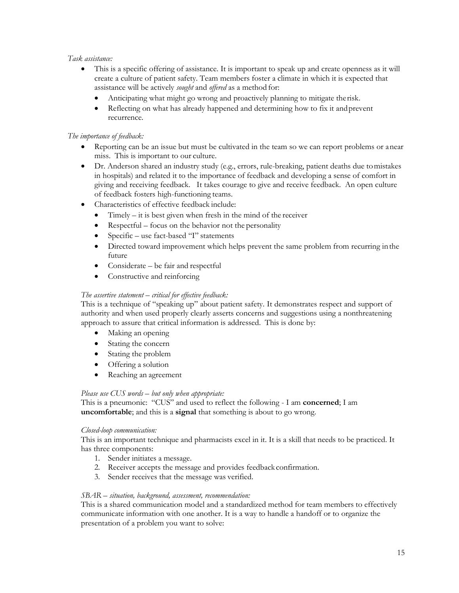## *Task assistance:*

- This is a specific offering of assistance. It is important to speak up and create openness as it will create a culture of patient safety. Team members foster a climate in which it is expected that assistance will be actively *sought* and *offered* as a method for:
	- Anticipating what might go wrong and proactively planning to mitigate therisk.
	- Reflecting on what has already happened and determining how to fix it andprevent recurrence.

## *The importance of feedback:*

- Reporting can be an issue but must be cultivated in the team so we can report problems or anear miss. This is important to our culture.
- Dr. Anderson shared an industry study (e.g., errors, rule-breaking, patient deaths due tomistakes in hospitals) and related it to the importance of feedback and developing a sense of comfort in giving and receiving feedback. It takes courage to give and receive feedback. An open culture of feedback fosters high-functioning teams.
- Characteristics of effective feedback include:
	- Timely it is best given when fresh in the mind of the receiver
	- Respectful focus on the behavior not the personality
	- Specific use fact-based "I" statements
	- Directed toward improvement which helps prevent the same problem from recurring inthe future
	- Considerate be fair and respectful
	- Constructive and reinforcing

## *The assertive statement – critical for effective feedback:*

This is a technique of "speaking up" about patient safety. It demonstrates respect and support of authority and when used properly clearly asserts concerns and suggestions using a nonthreatening approach to assure that critical information is addressed. This is done by:

- Making an opening
- Stating the concern
- Stating the problem
- Offering a solution
- Reaching an agreement

## *Please use CUS words – but only when appropriate:*

This is a pneumonic: "CUS" and used to reflect the following - I am **concerned**; I am **uncomfortable**; and this is a **signal** that something is about to go wrong.

## *Closed-loop communication:*

This is an important technique and pharmacists excel in it. It is a skill that needs to be practiced. It has three components:

- 1. Sender initiates a message.
- 2. Receiver accepts the message and provides feedback confirmation.
- 3. Sender receives that the message was verified.

#### *SBAR – situation, background, assessment, recommendation:*

This is a shared communication model and a standardized method for team members to effectively communicate information with one another. It is a way to handle a handoff or to organize the presentation of a problem you want to solve: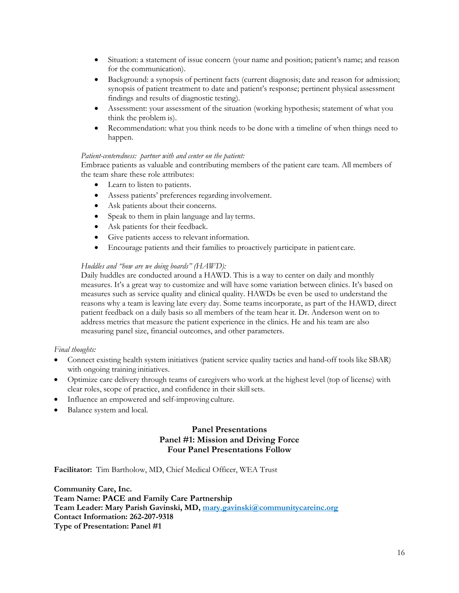- Situation: a statement of issue concern (your name and position; patient's name; and reason for the communication).
- Background: a synopsis of pertinent facts (current diagnosis; date and reason for admission; synopsis of patient treatment to date and patient's response; pertinent physical assessment findings and results of diagnostic testing).
- Assessment: your assessment of the situation (working hypothesis; statement of what you think the problem is).
- Recommendation: what you think needs to be done with a timeline of when things need to happen.

#### *Patient-centeredness: partner with and center on the patient:*

Embrace patients as valuable and contributing members of the patient care team. All members of the team share these role attributes:

- Learn to listen to patients.
- Assess patients' preferences regarding involvement.
- Ask patients about their concerns.
- Speak to them in plain language and lay terms.
- Ask patients for their feedback.
- Give patients access to relevant information.
- Encourage patients and their families to proactively participate in patient care.

#### *Huddles and "how are we doing boards" (HAWD):*

Daily huddles are conducted around a HAWD. This is a way to center on daily and monthly measures. It's a great way to customize and will have some variation between clinics. It's based on measures such as service quality and clinical quality. HAWDs be even be used to understand the reasons why a team is leaving late every day. Some teams incorporate, as part of the HAWD, direct patient feedback on a daily basis so all members of the team hear it. Dr. Anderson went on to address metrics that measure the patient experience in the clinics. He and his team are also measuring panel size, financial outcomes, and other parameters.

#### *Final thoughts:*

- Connect existing health system initiatives (patient service quality tactics and hand-off tools like SBAR) with ongoing training initiatives.
- Optimize care delivery through teams of caregivers who work at the highest level (top of license) with clear roles, scope of practice, and confidence in their skill sets.
- Influence an empowered and self-improving culture.
- Balance system and local.

# **Panel Presentations Panel #1: Mission and Driving Force Four Panel Presentations Follow**

**Facilitator:** Tim Bartholow, MD, Chief Medical Officer, WEA Trust

**Community Care, Inc. Team Name: PACE and Family Care Partnership Team Leader: Mary Parish Gavinski, MD, [mary.gavinski@communitycareinc.org](mailto:mary.gavinski@communitycareinc.org) Contact Information: 262-207-9318 Type of Presentation: Panel #1**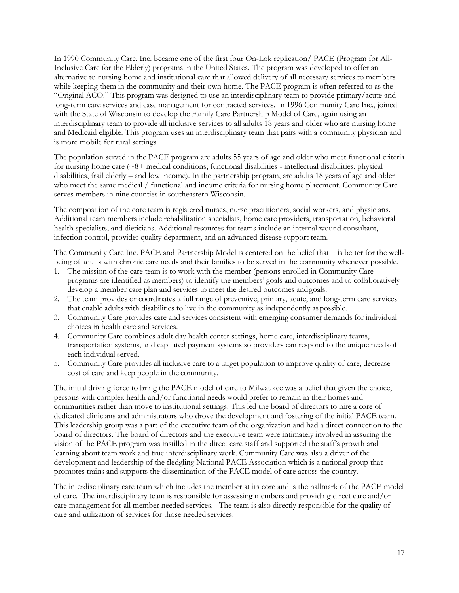In 1990 Community Care, Inc. became one of the first four On-Lok replication/ PACE (Program for All-Inclusive Care for the Elderly) programs in the United States. The program was developed to offer an alternative to nursing home and institutional care that allowed delivery of all necessary services to members while keeping them in the community and their own home. The PACE program is often referred to as the "Original ACO." This program was designed to use an interdisciplinary team to provide primary/acute and long-term care services and case management for contracted services. In 1996 Community Care Inc., joined with the State of Wisconsin to develop the Family Care Partnership Model of Care, again using an interdisciplinary team to provide all inclusive services to all adults 18 years and older who are nursing home and Medicaid eligible. This program uses an interdisciplinary team that pairs with a community physician and is more mobile for rural settings.

The population served in the PACE program are adults 55 years of age and older who meet functional criteria for nursing home care  $(~8+~\text{median conditions};~\text{functional disabilities - intellectual disabilities},~\text{physical})$ disabilities, frail elderly – and low income). In the partnership program, are adults 18 years of age and older who meet the same medical / functional and income criteria for nursing home placement. Community Care serves members in nine counties in southeastern Wisconsin.

The composition of the core team is registered nurses, nurse practitioners, social workers, and physicians. Additional team members include rehabilitation specialists, home care providers, transportation, behavioral health specialists, and dieticians. Additional resources for teams include an internal wound consultant, infection control, provider quality department, and an advanced disease support team.

The Community Care Inc. PACE and Partnership Model is centered on the belief that it is better for the wellbeing of adults with chronic care needs and their families to be served in the community whenever possible.

- 1. The mission of the care team is to work with the member (persons enrolled in Community Care programs are identified as members) to identify the members' goals and outcomes and to collaboratively develop a member care plan and services to meet the desired outcomes andgoals.
- 2. The team provides or coordinates a full range of preventive, primary, acute, and long-term care services that enable adults with disabilities to live in the community as independently aspossible.
- 3. Community Care provides care and services consistent with emerging consumer demands for individual choices in health care and services.
- 4. Community Care combines adult day health center settings, home care, interdisciplinary teams, transportation systems, and capitated payment systems so providers can respond to the unique needsof each individual served.
- 5. Community Care provides all inclusive care to a target population to improve quality of care, decrease cost of care and keep people in the community.

The initial driving force to bring the PACE model of care to Milwaukee was a belief that given the choice, persons with complex health and/or functional needs would prefer to remain in their homes and communities rather than move to institutional settings. This led the board of directors to hire a core of dedicated clinicians and administrators who drove the development and fostering of the initial PACE team. This leadership group was a part of the executive team of the organization and had a direct connection to the board of directors. The board of directors and the executive team were intimately involved in assuring the vision of the PACE program was instilled in the direct care staff and supported the staff's growth and learning about team work and true interdisciplinary work. Community Care was also a driver of the development and leadership of the fledgling National PACE Association which is a national group that promotes trains and supports the dissemination of the PACE model of care across the country.

The interdisciplinary care team which includes the member at its core and is the hallmark of the PACE model of care. The interdisciplinary team is responsible for assessing members and providing direct care and/or care management for all member needed services. The team is also directly responsible for the quality of care and utilization of services for those needed services.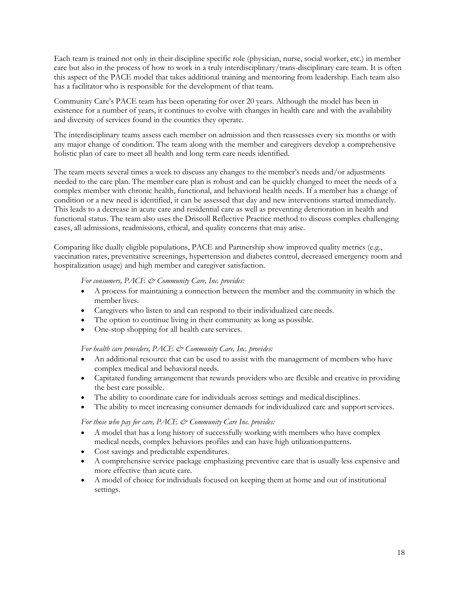Each team is trained not only in their discipline specific role (physician, nurse, social worker, etc.) in member care but also in the process of how to work in a truly interdisciplinary/trans-disciplinary care team. It is often this aspect of the PACE model that takes additional training and mentoring from leadership. Each team also has a facilitator who is responsible for the development of that team.

Community Care's PACE team has been operating for over 20 years. Although the model has been in existence for a number of years, it continues to evolve with changes in health care and with the availability and diversity of services found in the counties they operate.

The interdisciplinary teams assess each member on admission and then reassesses every six months or with any major change of condition. The team along with the member and caregivers develop a comprehensive holistic plan of care to meet all health and long term care needs identified.

The team meets several times a week to discuss any changes to the member's needs and/or adjustments needed to the care plan. The member care plan is robust and can be quickly changed to meet the needs of a complex member with chronic health, functional, and behavioral health needs. If a member has a change of condition or a new need is identified, it can be assessed that day and new interventions started immediately. This leads to a decrease in acute care and residential care as well as preventing deterioration in health and functional status. The team also uses the Driscoll Reflective Practice method to discuss complex challenging cases, all admissions, readmissions, ethical, and quality concerns that may arise.

Comparing like dually eligible populations, PACE and Partnership show improved quality metrics (e.g., vaccination rates, preventative screenings, hypertension and diabetes control, decreased emergency room and hospitalization usage) and high member and caregiver satisfaction.

*For consumers, PACE & Community Care, Inc. provides:*

- A process for maintaining a connection between the member and the community in which the member lives.
- Caregivers who listen to and can respond to their individualized care needs.
- The option to continue living in their community as long as possible.
- One-stop shopping for all health care services.

*For health care providers, PACE & Community Care, Inc. provides:*

- An additional resource that can be used to assist with the management of members who have complex medical and behavioral needs.
- Capitated funding arrangement that rewards providers who are flexible and creative in providing the best care possible.
- The ability to coordinate care for individuals across settings and medical disciplines.
- The ability to meet increasing consumer demands for individualized care and supportservices.

#### *For those who pay for care, PACE & Community Care Inc. provides:*

- A model that has a long history of successfully working with members who have complex medical needs, complex behaviors profiles and can have high utilizationpatterns.
- Cost savings and predictable expenditures.
- A comprehensive service package emphasizing preventive care that is usually less expensive and more effective than acute care.
- A model of choice for individuals focused on keeping them at home and out of institutional settings.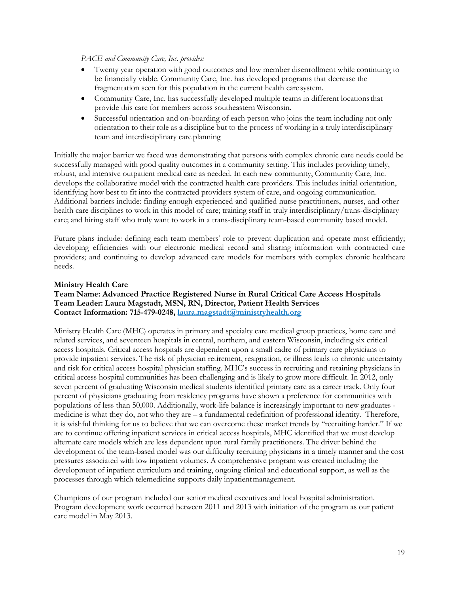#### *PACE and Community Care, Inc. provides:*

- Twenty year operation with good outcomes and low member disenrollment while continuing to be financially viable. Community Care, Inc. has developed programs that decrease the fragmentation seen for this population in the current health caresystem.
- Community Care, Inc. has successfully developed multiple teams in different locationsthat provide this care for members across southeastern Wisconsin.
- Successful orientation and on-boarding of each person who joins the team including not only orientation to their role as a discipline but to the process of working in a truly interdisciplinary team and interdisciplinary care planning

Initially the major barrier we faced was demonstrating that persons with complex chronic care needs could be successfully managed with good quality outcomes in a community setting. This includes providing timely, robust, and intensive outpatient medical care as needed. In each new community, Community Care, Inc. develops the collaborative model with the contracted health care providers. This includes initial orientation, identifying how best to fit into the contracted providers system of care, and ongoing communication. Additional barriers include: finding enough experienced and qualified nurse practitioners, nurses, and other health care disciplines to work in this model of care; training staff in truly interdisciplinary/trans-disciplinary care; and hiring staff who truly want to work in a trans-disciplinary team-based community based model.

Future plans include: defining each team members' role to prevent duplication and operate most efficiently; developing efficiencies with our electronic medical record and sharing information with contracted care providers; and continuing to develop advanced care models for members with complex chronic healthcare needs.

#### **Ministry Health Care**

## **Team Name: Advanced Practice Registered Nurse in Rural Critical Care Access Hospitals Team Leader: Laura Magstadt, MSN, RN, Director, Patient Health Services Contact Information: 715-479-0248, [laura.magstadt@ministryhealth.org](mailto:laura.magstadt@ministryhealth.org)**

Ministry Health Care (MHC) operates in primary and specialty care medical group practices, home care and related services, and seventeen hospitals in central, northern, and eastern Wisconsin, including six critical access hospitals. Critical access hospitals are dependent upon a small cadre of primary care physicians to provide inpatient services. The risk of physician retirement, resignation, or illness leads to chronic uncertainty and risk for critical access hospital physician staffing. MHC's success in recruiting and retaining physicians in critical access hospital communities has been challenging and is likely to grow more difficult. In 2012, only seven percent of graduating Wisconsin medical students identified primary care as a career track. Only four percent of physicians graduating from residency programs have shown a preference for communities with populations of less than 50,000. Additionally, work-life balance is increasingly important to new graduates medicine is what they do, not who they are – a fundamental redefinition of professional identity. Therefore, it is wishful thinking for us to believe that we can overcome these market trends by "recruiting harder." If we are to continue offering inpatient services in critical access hospitals, MHC identified that we must develop alternate care models which are less dependent upon rural family practitioners. The driver behind the development of the team-based model was our difficulty recruiting physicians in a timely manner and the cost pressures associated with low inpatient volumes. A comprehensive program was created including the development of inpatient curriculum and training, ongoing clinical and educational support, as well as the processes through which telemedicine supports daily inpatientmanagement.

Champions of our program included our senior medical executives and local hospital administration. Program development work occurred between 2011 and 2013 with initiation of the program as our patient care model in May 2013.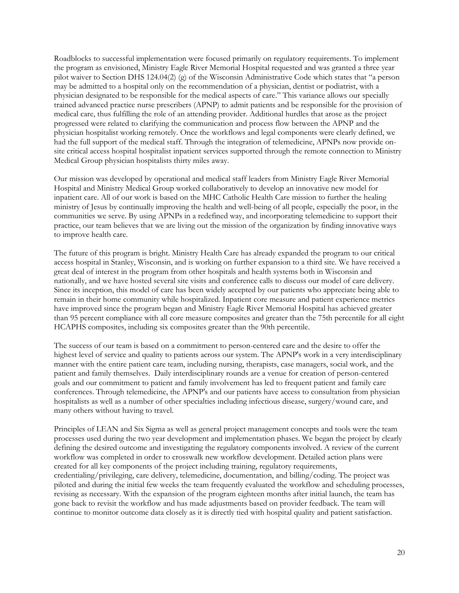Roadblocks to successful implementation were focused primarily on regulatory requirements. To implement the program as envisioned, Ministry Eagle River Memorial Hospital requested and was granted a three year pilot waiver to Section DHS 124.04(2) (g) of the Wisconsin Administrative Code which states that "a person may be admitted to a hospital only on the recommendation of a physician, dentist or podiatrist, with a physician designated to be responsible for the medical aspects of care." This variance allows our specially trained advanced practice nurse prescribers (APNP) to admit patients and be responsible for the provision of medical care, thus fulfilling the role of an attending provider. Additional hurdles that arose as the project progressed were related to clarifying the communication and process flow between the APNP and the physician hospitalist working remotely. Once the workflows and legal components were clearly defined, we had the full support of the medical staff. Through the integration of telemedicine, APNPs now provide onsite critical access hospital hospitalist inpatient services supported through the remote connection to Ministry Medical Group physician hospitalists thirty miles away.

Our mission was developed by operational and medical staff leaders from Ministry Eagle River Memorial Hospital and Ministry Medical Group worked collaboratively to develop an innovative new model for inpatient care. All of our work is based on the MHC Catholic Health Care mission to further the healing ministry of Jesus by continually improving the health and well-being of all people, especially the poor, in the communities we serve. By using APNPs in a redefined way, and incorporating telemedicine to support their practice, our team believes that we are living out the mission of the organization by finding innovative ways to improve health care.

The future of this program is bright. Ministry Health Care has already expanded the program to our critical access hospital in Stanley, Wisconsin, and is working on further expansion to a third site. We have received a great deal of interest in the program from other hospitals and health systems both in Wisconsin and nationally, and we have hosted several site visits and conference calls to discuss our model of care delivery. Since its inception, this model of care has been widely accepted by our patients who appreciate being able to remain in their home community while hospitalized. Inpatient core measure and patient experience metrics have improved since the program began and Ministry Eagle River Memorial Hospital has achieved greater than 95 percent compliance with all core measure composites and greater than the 75th percentile for all eight HCAPHS composites, including six composites greater than the 90th percentile.

The success of our team is based on a commitment to person-centered care and the desire to offer the highest level of service and quality to patients across our system. The APNP's work in a very interdisciplinary manner with the entire patient care team, including nursing, therapists, case managers, social work, and the patient and family themselves. Daily interdisciplinary rounds are a venue for creation of person-centered goals and our commitment to patient and family involvement has led to frequent patient and family care conferences. Through telemedicine, the APNP's and our patients have access to consultation from physician hospitalists as well as a number of other specialties including infectious disease, surgery/wound care, and many others without having to travel.

Principles of LEAN and Six Sigma as well as general project management concepts and tools were the team processes used during the two year development and implementation phases. We began the project by clearly defining the desired outcome and investigating the regulatory components involved. A review of the current workflow was completed in order to crosswalk new workflow development. Detailed action plans were created for all key components of the project including training, regulatory requirements, credentialing/privileging, care delivery, telemedicine, documentation, and billing/coding. The project was piloted and during the initial few weeks the team frequently evaluated the workflow and scheduling processes, revising as necessary. With the expansion of the program eighteen months after initial launch, the team has gone back to revisit the workflow and has made adjustments based on provider feedback. The team will continue to monitor outcome data closely as it is directly tied with hospital quality and patient satisfaction.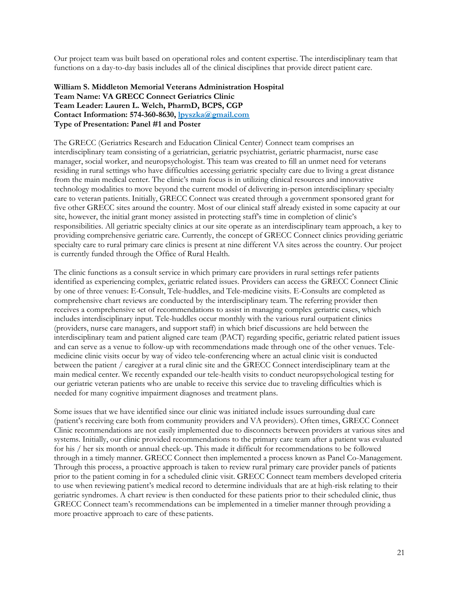Our project team was built based on operational roles and content expertise. The interdisciplinary team that functions on a day-to-day basis includes all of the clinical disciplines that provide direct patient care.

#### **William S. Middleton Memorial Veterans Administration Hospital Team Name: VA GRECC Connect Geriatrics Clinic Team Leader: Lauren L. Welch, PharmD, BCPS, CGP Contact Information: 574-360-8630[, lpyszka@gmail.com](mailto:lpyszka@gmail.com) Type of Presentation: Panel #1 and Poster**

The GRECC (Geriatrics Research and Education Clinical Center) Connect team comprises an interdisciplinary team consisting of a geriatrician, geriatric psychiatrist, geriatric pharmacist, nurse case manager, social worker, and neuropsychologist. This team was created to fill an unmet need for veterans residing in rural settings who have difficulties accessing geriatric specialty care due to living a great distance from the main medical center. The clinic's main focus is in utilizing clinical resources and innovative technology modalities to move beyond the current model of delivering in-person interdisciplinary specialty care to veteran patients. Initially, GRECC Connect was created through a government sponsored grant for five other GRECC sites around the country. Most of our clinical staff already existed in some capacity at our site, however, the initial grant money assisted in protecting staff's time in completion of clinic's responsibilities. All geriatric specialty clinics at our site operate as an interdisciplinary team approach, a key to providing comprehensive geriatric care. Currently, the concept of GRECC Connect clinics providing geriatric specialty care to rural primary care clinics is present at nine different VA sites across the country. Our project is currently funded through the Office of Rural Health.

The clinic functions as a consult service in which primary care providers in rural settings refer patients identified as experiencing complex, geriatric related issues. Providers can access the GRECC Connect Clinic by one of three venues: E-Consult, Tele-huddles, and Tele-medicine visits. E-Consults are completed as comprehensive chart reviews are conducted by the interdisciplinary team. The referring provider then receives a comprehensive set of recommendations to assist in managing complex geriatric cases, which includes interdisciplinary input. Tele-huddles occur monthly with the various rural outpatient clinics (providers, nurse care managers, and support staff) in which brief discussions are held between the interdisciplinary team and patient aligned care team (PACT) regarding specific, geriatric related patient issues and can serve as a venue to follow-up with recommendations made through one of the other venues. Telemedicine clinic visits occur by way of video tele-conferencing where an actual clinic visit is conducted between the patient / caregiver at a rural clinic site and the GRECC Connect interdisciplinary team at the main medical center. We recently expanded our tele-health visits to conduct neuropsychological testing for our geriatric veteran patients who are unable to receive this service due to traveling difficulties which is needed for many cognitive impairment diagnoses and treatment plans.

Some issues that we have identified since our clinic was initiated include issues surrounding dual care (patient's receiving care both from community providers and VA providers). Often times, GRECC Connect Clinic recommendations are not easily implemented due to disconnects between providers at various sites and systems. Initially, our clinic provided recommendations to the primary care team after a patient was evaluated for his / her six month or annual check-up. This made it difficult for recommendations to be followed through in a timely manner. GRECC Connect then implemented a process known as Panel Co-Management. Through this process, a proactive approach is taken to review rural primary care provider panels of patients prior to the patient coming in for a scheduled clinic visit. GRECC Connect team members developed criteria to use when reviewing patient's medical record to determine individuals that are at high-risk relating to their geriatric syndromes. A chart review is then conducted for these patients prior to their scheduled clinic, thus GRECC Connect team's recommendations can be implemented in a timelier manner through providing a more proactive approach to care of these patients.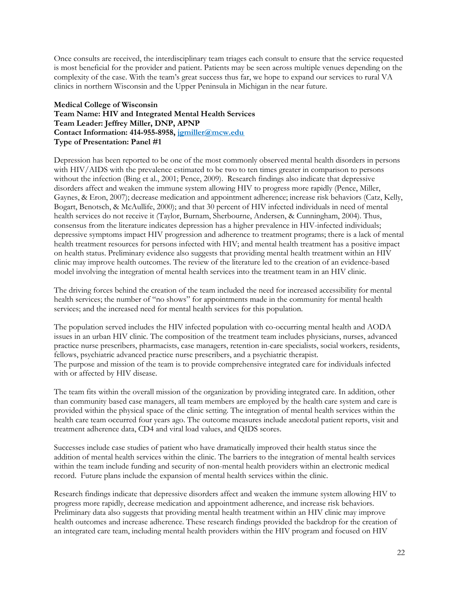Once consults are received, the interdisciplinary team triages each consult to ensure that the service requested is most beneficial for the provider and patient. Patients may be seen across multiple venues depending on the complexity of the case. With the team's great success thus far, we hope to expand our services to rural VA clinics in northern Wisconsin and the Upper Peninsula in Michigan in the near future.

#### **Medical College of Wisconsin Team Name: HIV and Integrated Mental Health Services Team Leader: Jeffrey Miller, DNP, APNP Contact Information: 414-955-8958, [jgmiller@mcw.edu](mailto:jgmiller@mcw.edu) Type of Presentation: Panel #1**

Depression has been reported to be one of the most commonly observed mental health disorders in persons with HIV/AIDS with the prevalence estimated to be two to ten times greater in comparison to persons without the infection (Bing et al., 2001; Pence, 2009). Research findings also indicate that depressive disorders affect and weaken the immune system allowing HIV to progress more rapidly (Pence, Miller, Gaynes, & Eron, 2007); decrease medication and appointment adherence; increase risk behaviors (Catz, Kelly, Bogart, Benotsch, & McAullife, 2000); and that 30 percent of HIV infected individuals in need of mental health services do not receive it (Taylor, Burnam, Sherbourne, Andersen, & Cunningham, 2004). Thus, consensus from the literature indicates depression has a higher prevalence in HIV-infected individuals; depressive symptoms impact HIV progression and adherence to treatment programs; there is a lack of mental health treatment resources for persons infected with HIV; and mental health treatment has a positive impact on health status. Preliminary evidence also suggests that providing mental health treatment within an HIV clinic may improve health outcomes. The review of the literature led to the creation of an evidence-based model involving the integration of mental health services into the treatment team in an HIV clinic.

The driving forces behind the creation of the team included the need for increased accessibility for mental health services; the number of "no shows" for appointments made in the community for mental health services; and the increased need for mental health services for this population.

The population served includes the HIV infected population with co-occurring mental health and AODA issues in an urban HIV clinic. The composition of the treatment team includes physicians, nurses, advanced practice nurse prescribers, pharmacists, case managers, retention in-care specialists, social workers, residents, fellows, psychiatric advanced practice nurse prescribers, and a psychiatric therapist. The purpose and mission of the team is to provide comprehensive integrated care for individuals infected with or affected by HIV disease.

The team fits within the overall mission of the organization by providing integrated care. In addition, other than community based case managers, all team members are employed by the health care system and care is provided within the physical space of the clinic setting. The integration of mental health services within the health care team occurred four years ago. The outcome measures include anecdotal patient reports, visit and treatment adherence data, CD4 and viral load values, and QIDS scores.

Successes include case studies of patient who have dramatically improved their health status since the addition of mental health services within the clinic. The barriers to the integration of mental health services within the team include funding and security of non-mental health providers within an electronic medical record. Future plans include the expansion of mental health services within the clinic.

Research findings indicate that depressive disorders affect and weaken the immune system allowing HIV to progress more rapidly, decrease medication and appointment adherence, and increase risk behaviors. Preliminary data also suggests that providing mental health treatment within an HIV clinic may improve health outcomes and increase adherence. These research findings provided the backdrop for the creation of an integrated care team, including mental health providers within the HIV program and focused on HIV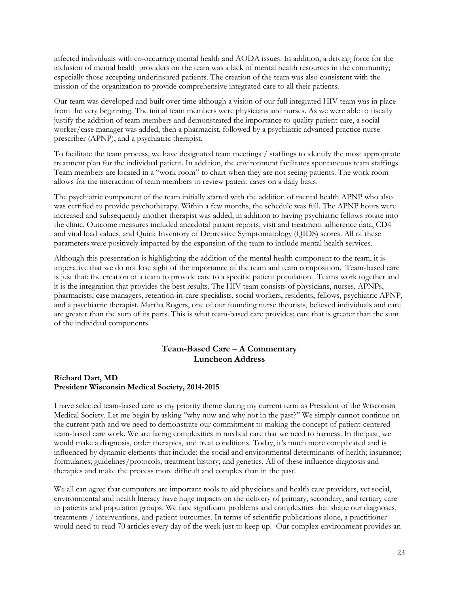infected individuals with co-occurring mental health and AODA issues. In addition, a driving force for the inclusion of mental health providers on the team was a lack of mental health resources in the community; especially those accepting underinsured patients. The creation of the team was also consistent with the mission of the organization to provide comprehensive integrated care to all their patients.

Our team was developed and built over time although a vision of our full integrated HIV team was in place from the very beginning. The initial team members were physicians and nurses. As we were able to fiscally justify the addition of team members and demonstrated the importance to quality patient care, a social worker/case manager was added, then a pharmacist, followed by a psychiatric advanced practice nurse prescriber (APNP), and a psychiatric therapist.

To facilitate the team process, we have designated team meetings / staffings to identify the most appropriate treatment plan for the individual patient. In addition, the environment facilitates spontaneous team staffings. Team members are located in a "work room" to chart when they are not seeing patients. The work room allows for the interaction of team members to review patient cases on a daily basis.

The psychiatric component of the team initially started with the addition of mental health APNP who also was certified to provide psychotherapy. Within a few months, the schedule was full. The APNP hours were increased and subsequently another therapist was added, in addition to having psychiatric fellows rotate into the clinic. Outcome measures included anecdotal patient reports, visit and treatment adherence data, CD4 and viral load values, and Quick Inventory of Depressive Symptomatology (QIDS) scores. All of these parameters were positively impacted by the expansion of the team to include mental health services.

Although this presentation is highlighting the addition of the mental health component to the team, it is imperative that we do not lose sight of the importance of the team and team composition. Team-based care is just that; the creation of a team to provide care to a specific patient population. Teams work together and it is the integration that provides the best results. The HIV team consists of physicians, nurses, APNPs, pharmacists, case managers, retention-in-care specialists, social workers, residents, fellows, psychiatric APNP, and a psychiatric therapist. Martha Rogers, one of our founding nurse theorists, believed individuals and care are greater than the sum of its parts. This is what team-based care provides; care that is greater than the sum of the individual components.

## **Team-Based Care – A Commentary Luncheon Address**

#### **Richard Dart, MD President Wisconsin Medical Society, 2014-2015**

I have selected team-based care as my priority theme during my current term as President of the Wisconsin Medical Society. Let me begin by asking "why now and why not in the past?" We simply cannot continue on the current path and we need to demonstrate our commitment to making the concept of patient-centered team-based care work. We are facing complexities in medical care that we need to harness. In the past, we would make a diagnosis, order therapies, and treat conditions. Today, it's much more complicated and is influenced by dynamic elements that include: the social and environmental determinants of health; insurance; formularies; guidelines/protocols; treatment history; and genetics. All of these influence diagnosis and therapies and make the process more difficult and complex than in the past.

We all can agree that computers are important tools to aid physicians and health care providers, yet social, environmental and health literacy have huge impacts on the delivery of primary, secondary, and tertiary care to patients and population groups. We face significant problems and complexities that shape our diagnoses, treatments / interventions, and patient outcomes. In terms of scientific publications alone, a practitioner would need to read 70 articles every day of the week just to keep up. Our complex environment provides an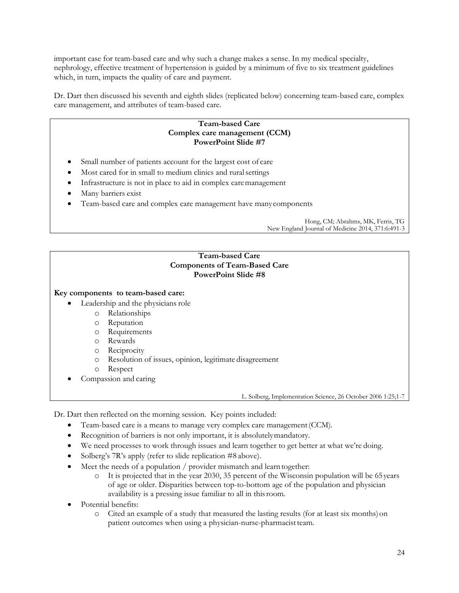important case for team-based care and why such a change makes a sense. In my medical specialty, nephrology, effective treatment of hypertension is guided by a minimum of five to six treatment guidelines which, in turn, impacts the quality of care and payment.

Dr. Dart then discussed his seventh and eighth slides (replicated below) concerning team-based care, complex care management, and attributes of team-based care.

## **Team-based Care Complex care management (CCM) PowerPoint Slide #7**

- Small number of patients account for the largest cost of care
- Most cared for in small to medium clinics and ruralsettings
- Infrastructure is not in place to aid in complex caremanagement
- Many barriers exist
- Team-based care and complex care management have manycomponents

Hong, CM; Abrahms, MK, Ferris, TG New England Journal of Medicine 2014, 371:6:491-3

# **Team-based Care Components of Team-Based Care PowerPoint Slide #8**

## **Key components to team-based care:**

- Leadership and the physicians role
	- o Relationships
	- o Reputation
	- o Requirements
	- o Rewards
	- o Reciprocity
	- o Resolution of issues, opinion, legitimate disagreement
	- o Respect
- Compassion and caring

L. Solberg, Implementation Science, 26 October 2006 1:25;1-7

Dr. Dart then reflected on the morning session. Key points included:

- Team-based care is a means to manage very complex care management(CCM).
- Recognition of barriers is not only important, it is absolutelymandatory.
- We need processes to work through issues and learn together to get better at what we're doing.
- Solberg's 7R's apply (refer to slide replication #8 above).
- Meet the needs of a population / provider mismatch and learn together:
	- o It is projected that in the year 2030, 35 percent of the Wisconsin population will be 65years of age or older. Disparities between top-to-bottom age of the population and physician availability is a pressing issue familiar to all in thisroom.
- Potential benefits:
	- o Cited an example of a study that measured the lasting results (for at least six months)on patient outcomes when using a physician-nurse-pharmacist team.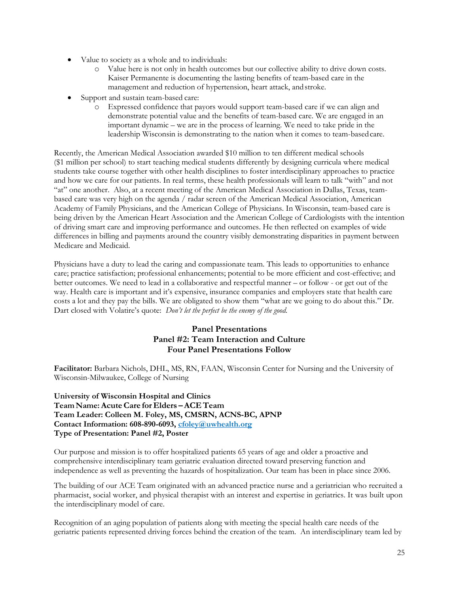- Value to society as a whole and to individuals:
	- o Value here is not only in health outcomes but our collective ability to drive down costs. Kaiser Permanente is documenting the lasting benefits of team-based care in the management and reduction of hypertension, heart attack, andstroke.
- Support and sustain team-based care:
	- o Expressed confidence that payors would support team-based care if we can align and demonstrate potential value and the benefits of team-based care. We are engaged in an important dynamic – we are in the process of learning. We need to take pride in the leadership Wisconsin is demonstrating to the nation when it comes to team-basedcare.

Recently, the American Medical Association awarded \$10 million to ten different medical schools (\$1 million per school) to start teaching medical students differently by designing curricula where medical students take course together with other health disciplines to foster interdisciplinary approaches to practice and how we care for our patients. In real terms, these health professionals will learn to talk "with" and not "at" one another. Also, at a recent meeting of the American Medical Association in Dallas, Texas, teambased care was very high on the agenda / radar screen of the American Medical Association, American Academy of Family Physicians, and the American College of Physicians. In Wisconsin, team-based care is being driven by the American Heart Association and the American College of Cardiologists with the intention of driving smart care and improving performance and outcomes. He then reflected on examples of wide differences in billing and payments around the country visibly demonstrating disparities in payment between Medicare and Medicaid.

Physicians have a duty to lead the caring and compassionate team. This leads to opportunities to enhance care; practice satisfaction; professional enhancements; potential to be more efficient and cost-effective; and better outcomes. We need to lead in a collaborative and respectful manner – or follow - or get out of the way. Health care is important and it's expensive, insurance companies and employers state that health care costs a lot and they pay the bills. We are obligated to show them "what are we going to do about this." Dr. Dart closed with Volatire's quote: *Don't let the perfect be the enemy of the good.*

# **Panel Presentations Panel #2: Team Interaction and Culture Four Panel Presentations Follow**

**Facilitator:** Barbara Nichols, DHL, MS, RN, FAAN, Wisconsin Center for Nursing and the University of Wisconsin-Milwaukee, College of Nursing

**University of Wisconsin Hospital and Clinics Team Name:AcuteCare for Elders –ACE Team Team Leader: Colleen M. Foley, MS, CMSRN, ACNS-BC, APNP Contact Information: 608-890-6093[, cfoley@uwhealth.org](mailto:cfoley@uwhealth.org) Type of Presentation: Panel #2, Poster**

Our purpose and mission is to offer hospitalized patients 65 years of age and older a proactive and comprehensive interdisciplinary team geriatric evaluation directed toward preserving function and independence as well as preventing the hazards of hospitalization. Our team has been in place since 2006.

The building of our ACE Team originated with an advanced practice nurse and a geriatrician who recruited a pharmacist, social worker, and physical therapist with an interest and expertise in geriatrics. It was built upon the interdisciplinary model of care.

Recognition of an aging population of patients along with meeting the special health care needs of the geriatric patients represented driving forces behind the creation of the team. An interdisciplinary team led by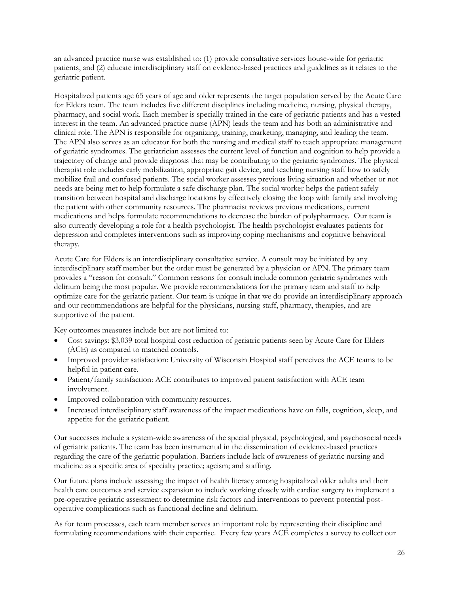an advanced practice nurse was established to: (1) provide consultative services house-wide for geriatric patients, and (2) educate interdisciplinary staff on evidence-based practices and guidelines as it relates to the geriatric patient.

Hospitalized patients age 65 years of age and older represents the target population served by the Acute Care for Elders team. The team includes five different disciplines including medicine, nursing, physical therapy, pharmacy, and social work. Each member is specially trained in the care of geriatric patients and has a vested interest in the team. An advanced practice nurse (APN) leads the team and has both an administrative and clinical role. The APN is responsible for organizing, training, marketing, managing, and leading the team. The APN also serves as an educator for both the nursing and medical staff to teach appropriate management of geriatric syndromes. The geriatrician assesses the current level of function and cognition to help provide a trajectory of change and provide diagnosis that may be contributing to the geriatric syndromes. The physical therapist role includes early mobilization, appropriate gait device, and teaching nursing staff how to safely mobilize frail and confused patients. The social worker assesses previous living situation and whether or not needs are being met to help formulate a safe discharge plan. The social worker helps the patient safely transition between hospital and discharge locations by effectively closing the loop with family and involving the patient with other community resources. The pharmacist reviews previous medications, current medications and helps formulate recommendations to decrease the burden of polypharmacy. Our team is also currently developing a role for a health psychologist. The health psychologist evaluates patients for depression and completes interventions such as improving coping mechanisms and cognitive behavioral therapy.

Acute Care for Elders is an interdisciplinary consultative service. A consult may be initiated by any interdisciplinary staff member but the order must be generated by a physician or APN. The primary team provides a "reason for consult." Common reasons for consult include common geriatric syndromes with delirium being the most popular. We provide recommendations for the primary team and staff to help optimize care for the geriatric patient. Our team is unique in that we do provide an interdisciplinary approach and our recommendations are helpful for the physicians, nursing staff, pharmacy, therapies, and are supportive of the patient.

Key outcomes measures include but are not limited to:

- Cost savings: \$3,039 total hospital cost reduction of geriatric patients seen by Acute Care for Elders (ACE) as compared to matched controls.
- Improved provider satisfaction: University of Wisconsin Hospital staff perceives the ACE teams to be helpful in patient care.
- Patient/family satisfaction: ACE contributes to improved patient satisfaction with ACE team involvement.
- Improved collaboration with community resources.
- Increased interdisciplinary staff awareness of the impact medications have on falls, cognition, sleep, and appetite for the geriatric patient.

Our successes include a system-wide awareness of the special physical, psychological, and psychosocial needs of geriatric patients. The team has been instrumental in the dissemination of evidence-based practices regarding the care of the geriatric population. Barriers include lack of awareness of geriatric nursing and medicine as a specific area of specialty practice; ageism; and staffing.

Our future plans include assessing the impact of health literacy among hospitalized older adults and their health care outcomes and service expansion to include working closely with cardiac surgery to implement a pre-operative geriatric assessment to determine risk factors and interventions to prevent potential postoperative complications such as functional decline and delirium.

As for team processes, each team member serves an important role by representing their discipline and formulating recommendations with their expertise. Every few years ACE completes a survey to collect our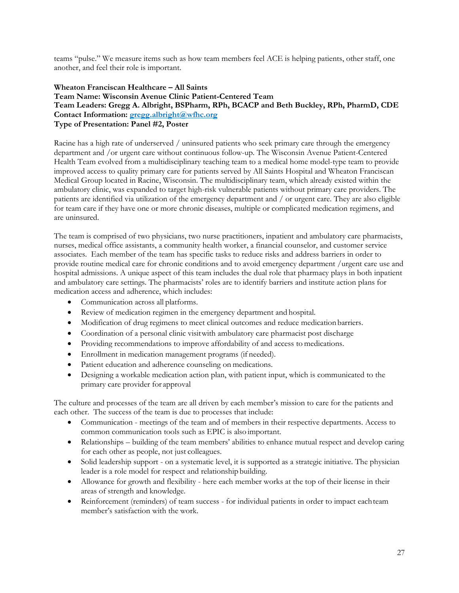teams "pulse." We measure items such as how team members feel ACE is helping patients, other staff, one another, and feel their role is important.

## **Wheaton Franciscan Healthcare – All Saints Team Name: Wisconsin Avenue Clinic Patient-Centered Team Team Leaders: Gregg A. Albright, BSPharm, RPh, BCACP and Beth Buckley, RPh, PharmD, CDE Contact Information: [gregg.albright@wfhc.org](mailto:gregg.albright@wfhc.org) Type of Presentation: Panel #2, Poster**

Racine has a high rate of underserved / uninsured patients who seek primary care through the emergency department and /or urgent care without continuous follow-up. The Wisconsin Avenue Patient-Centered Health Team evolved from a multidisciplinary teaching team to a medical home model-type team to provide improved access to quality primary care for patients served by All Saints Hospital and Wheaton Franciscan Medical Group located in Racine, Wisconsin. The multidisciplinary team, which already existed within the ambulatory clinic, was expanded to target high-risk vulnerable patients without primary care providers. The patients are identified via utilization of the emergency department and / or urgent care. They are also eligible for team care if they have one or more chronic diseases, multiple or complicated medication regimens, and are uninsured.

The team is comprised of two physicians, two nurse practitioners, inpatient and ambulatory care pharmacists, nurses, medical office assistants, a community health worker, a financial counselor, and customer service associates. Each member of the team has specific tasks to reduce risks and address barriers in order to provide routine medical care for chronic conditions and to avoid emergency department /urgent care use and hospital admissions. A unique aspect of this team includes the dual role that pharmacy plays in both inpatient and ambulatory care settings. The pharmacists' roles are to identify barriers and institute action plans for medication access and adherence, which includes:

- Communication across all platforms.
- Review of medication regimen in the emergency department and hospital.
- $\bullet$  Modification of drug regimens to meet clinical outcomes and reduce medication barriers.
- Coordination of a personal clinic visitwith ambulatory care pharmacist post discharge
- Providing recommendations to improve affordability of and access to medications.
- Enrollment in medication management programs (if needed).
- Patient education and adherence counseling on medications.
- Designing a workable medication action plan, with patient input, which is communicated to the primary care provider for approval

The culture and processes of the team are all driven by each member's mission to care for the patients and each other. The success of the team is due to processes that include:

- Communication meetings of the team and of members in their respective departments. Access to common communication tools such as EPIC is also important.
- Relationships building of the team members' abilities to enhance mutual respect and develop caring for each other as people, not just colleagues.
- Solid leadership support on a systematic level, it is supported as a strategic initiative. The physician leader is a role model for respect and relationship building.
- Allowance for growth and flexibility here each member works at the top of their license in their areas of strength and knowledge.
- Reinforcement (reminders) of team success for individual patients in order to impact eachteam member's satisfaction with the work.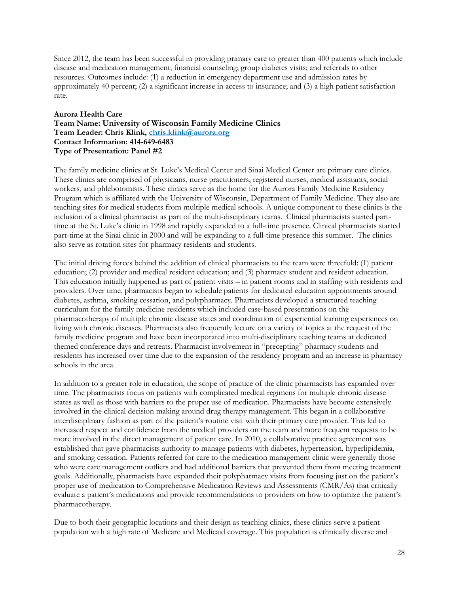Since 2012, the team has been successful in providing primary care to greater than 400 patients which include disease and medication management; financial counseling; group diabetes visits; and referrals to other resources. Outcomes include: (1) a reduction in emergency department use and admission rates by approximately 40 percent; (2) a significant increase in access to insurance; and (3) a high patient satisfaction rate.

## **Aurora Health Care Team Name: University of Wisconsin Family Medicine Clinics Team Leader: Chris Klink, [chris.klink@aurora.org](mailto:chris.klink@aurora.org) Contact Information: 414-649-6483 Type of Presentation: Panel #2**

The family medicine clinics at St. Luke's Medical Center and Sinai Medical Center are primary care clinics. These clinics are comprised of physicians, nurse practitioners, registered nurses, medical assistants, social workers, and phlebotomists. These clinics serve as the home for the Aurora Family Medicine Residency Program which is affiliated with the University of Wisconsin, Department of Family Medicine. They also are teaching sites for medical students from multiple medical schools. A unique component to these clinics is the inclusion of a clinical pharmacist as part of the multi-disciplinary teams. Clinical pharmacists started parttime at the St. Luke's clinic in 1998 and rapidly expanded to a full-time presence. Clinical pharmacists started part-time at the Sinai clinic in 2000 and will be expanding to a full-time presence this summer. The clinics also serve as rotation sites for pharmacy residents and students.

The initial driving forces behind the addition of clinical pharmacists to the team were threefold: (1) patient education; (2) provider and medical resident education; and (3) pharmacy student and resident education. This education initially happened as part of patient visits – in patient rooms and in staffing with residents and providers. Over time, pharmacists began to schedule patients for dedicated education appointments around diabetes, asthma, smoking cessation, and polypharmacy. Pharmacists developed a structured teaching curriculum for the family medicine residents which included case-based presentations on the pharmacotherapy of multiple chronic disease states and coordination of experiential learning experiences on living with chronic diseases. Pharmacists also frequently lecture on a variety of topics at the request of the family medicine program and have been incorporated into multi-disciplinary teaching teams at dedicated themed conference days and retreats. Pharmacist involvement in "precepting" pharmacy students and residents has increased over time due to the expansion of the residency program and an increase in pharmacy schools in the area.

In addition to a greater role in education, the scope of practice of the clinic pharmacists has expanded over time. The pharmacists focus on patients with complicated medical regimens for multiple chronic disease states as well as those with barriers to the proper use of medication. Pharmacists have become extensively involved in the clinical decision making around drug therapy management. This began in a collaborative interdisciplinary fashion as part of the patient's routine visit with their primary care provider. This led to increased respect and confidence from the medical providers on the team and more frequent requests to be more involved in the direct management of patient care. In 2010, a collaborative practice agreement was established that gave pharmacists authority to manage patients with diabetes, hypertension, hyperlipidemia, and smoking cessation. Patients referred for care to the medication management clinic were generally those who were care management outliers and had additional barriers that prevented them from meeting treatment goals. Additionally, pharmacists have expanded their polypharmacy visits from focusing just on the patient's proper use of medication to Comprehensive Medication Reviews and Assessments (CMR/As) that critically evaluate a patient's medications and provide recommendations to providers on how to optimize the patient's pharmacotherapy.

Due to both their geographic locations and their design as teaching clinics, these clinics serve a patient population with a high rate of Medicare and Medicaid coverage. This population is ethnically diverse and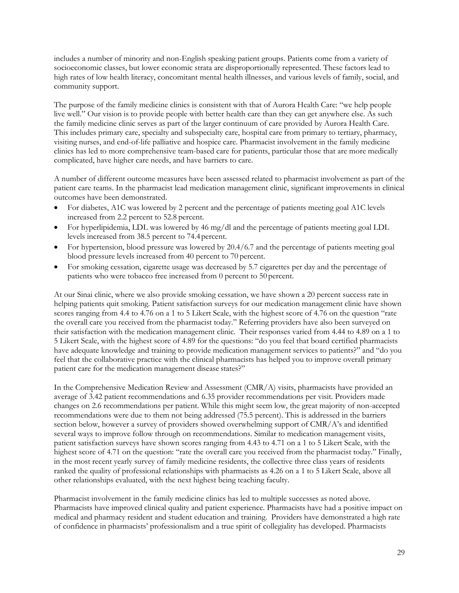includes a number of minority and non-English speaking patient groups. Patients come from a variety of socioeconomic classes, but lower economic strata are disproportionally represented. These factors lead to high rates of low health literacy, concomitant mental health illnesses, and various levels of family, social, and community support.

The purpose of the family medicine clinics is consistent with that of Aurora Health Care: "we help people live well." Our vision is to provide people with better health care than they can get anywhere else. As such the family medicine clinic serves as part of the larger continuum of care provided by Aurora Health Care. This includes primary care, specialty and subspecialty care, hospital care from primary to tertiary, pharmacy, visiting nurses, and end-of-life palliative and hospice care. Pharmacist involvement in the family medicine clinics has led to more comprehensive team-based care for patients, particular those that are more medically complicated, have higher care needs, and have barriers to care.

A number of different outcome measures have been assessed related to pharmacist involvement as part of the patient care teams. In the pharmacist lead medication management clinic, significant improvements in clinical outcomes have been demonstrated.

- For diabetes, A1C was lowered by 2 percent and the percentage of patients meeting goal A1C levels increased from 2.2 percent to 52.8 percent.
- For hyperlipidemia, LDL was lowered by 46 mg/dl and the percentage of patients meeting goal LDL levels increased from 38.5 percent to 74.4percent.
- For hypertension, blood pressure was lowered by 20.4/6.7 and the percentage of patients meeting goal blood pressure levels increased from 40 percent to 70 percent.
- For smoking cessation, cigarette usage was decreased by 5.7 cigarettes per day and the percentage of patients who were tobacco free increased from 0 percent to 50 percent.

At our Sinai clinic, where we also provide smoking cessation, we have shown a 20 percent success rate in helping patients quit smoking. Patient satisfaction surveys for our medication management clinic have shown scores ranging from 4.4 to 4.76 on a 1 to 5 Likert Scale, with the highest score of 4.76 on the question "rate the overall care you received from the pharmacist today." Referring providers have also been surveyed on their satisfaction with the medication management clinic. Their responses varied from 4.44 to 4.89 on a 1 to 5 Likert Scale, with the highest score of 4.89 for the questions: "do you feel that board certified pharmacists have adequate knowledge and training to provide medication management services to patients?" and "do you feel that the collaborative practice with the clinical pharmacists has helped you to improve overall primary patient care for the medication management disease states?"

In the Comprehensive Medication Review and Assessment (CMR/A) visits, pharmacists have provided an average of 3.42 patient recommendations and 6.35 provider recommendations per visit. Providers made changes on 2.6 recommendations per patient. While this might seem low, the great majority of non-accepted recommendations were due to them not being addressed (75.5 percent). This is addressed in the barriers section below, however a survey of providers showed overwhelming support of CMR/A's and identified several ways to improve follow through on recommendations. Similar to medication management visits, patient satisfaction surveys have shown scores ranging from 4.43 to 4.71 on a 1 to 5 Likert Scale, with the highest score of 4.71 on the question: "rate the overall care you received from the pharmacist today." Finally, in the most recent yearly survey of family medicine residents, the collective three class years of residents ranked the quality of professional relationships with pharmacists as 4.26 on a 1 to 5 Likert Scale, above all other relationships evaluated, with the next highest being teaching faculty.

Pharmacist involvement in the family medicine clinics has led to multiple successes as noted above. Pharmacists have improved clinical quality and patient experience. Pharmacists have had a positive impact on medical and pharmacy resident and student education and training. Providers have demonstrated a high rate of confidence in pharmacists' professionalism and a true spirit of collegiality has developed. Pharmacists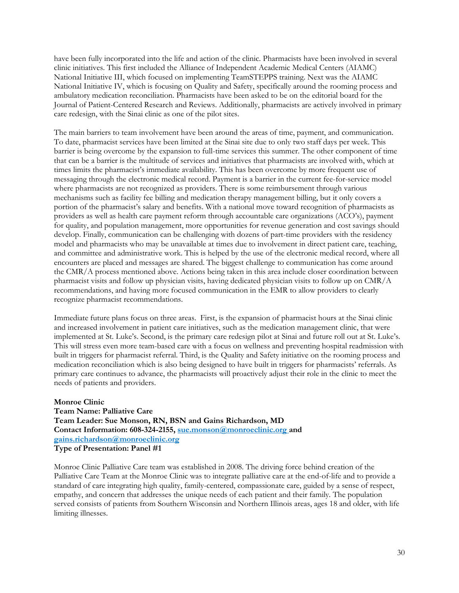have been fully incorporated into the life and action of the clinic. Pharmacists have been involved in several clinic initiatives. This first included the Alliance of Independent Academic Medical Centers (AIAMC) National Initiative III, which focused on implementing TeamSTEPPS training. Next was the AIAMC National Initiative IV, which is focusing on Quality and Safety, specifically around the rooming process and ambulatory medication reconciliation. Pharmacists have been asked to be on the editorial board for the Journal of Patient-Centered Research and Reviews. Additionally, pharmacists are actively involved in primary care redesign, with the Sinai clinic as one of the pilot sites.

The main barriers to team involvement have been around the areas of time, payment, and communication. To date, pharmacist services have been limited at the Sinai site due to only two staff days per week. This barrier is being overcome by the expansion to full-time services this summer. The other component of time that can be a barrier is the multitude of services and initiatives that pharmacists are involved with, which at times limits the pharmacist's immediate availability. This has been overcome by more frequent use of messaging through the electronic medical record. Payment is a barrier in the current fee-for-service model where pharmacists are not recognized as providers. There is some reimbursement through various mechanisms such as facility fee billing and medication therapy management billing, but it only covers a portion of the pharmacist's salary and benefits. With a national move toward recognition of pharmacists as providers as well as health care payment reform through accountable care organizations (ACO's), payment for quality, and population management, more opportunities for revenue generation and cost savings should develop. Finally, communication can be challenging with dozens of part-time providers with the residency model and pharmacists who may be unavailable at times due to involvement in direct patient care, teaching, and committee and administrative work. This is helped by the use of the electronic medical record, where all encounters are placed and messages are shared. The biggest challenge to communication has come around the CMR/A process mentioned above. Actions being taken in this area include closer coordination between pharmacist visits and follow up physician visits, having dedicated physician visits to follow up on CMR/A recommendations, and having more focused communication in the EMR to allow providers to clearly recognize pharmacist recommendations.

Immediate future plans focus on three areas. First, is the expansion of pharmacist hours at the Sinai clinic and increased involvement in patient care initiatives, such as the medication management clinic, that were implemented at St. Luke's. Second, is the primary care redesign pilot at Sinai and future roll out at St. Luke's. This will stress even more team-based care with a focus on wellness and preventing hospital readmission with built in triggers for pharmacist referral. Third, is the Quality and Safety initiative on the rooming process and medication reconciliation which is also being designed to have built in triggers for pharmacists' referrals. As primary care continues to advance, the pharmacists will proactively adjust their role in the clinic to meet the needs of patients and providers.

**Monroe Clinic Team Name: Palliative Care Team Leader: Sue Monson, RN, BSN and Gains Richardson, MD Contact Information: 608-324-2155, [sue.monson@monroeclinic.org a](mailto:sue.monson@monroeclinic.org)nd [gains.richardson@monroeclinic.org](mailto:gains.richardson@monroeclinic.org) Type of Presentation: Panel #1**

Monroe Clinic Palliative Care team was established in 2008. The driving force behind creation of the Palliative Care Team at the Monroe Clinic was to integrate palliative care at the end-of-life and to provide a standard of care integrating high quality, family-centered, compassionate care, guided by a sense of respect, empathy, and concern that addresses the unique needs of each patient and their family. The population served consists of patients from Southern Wisconsin and Northern Illinois areas, ages 18 and older, with life limiting illnesses.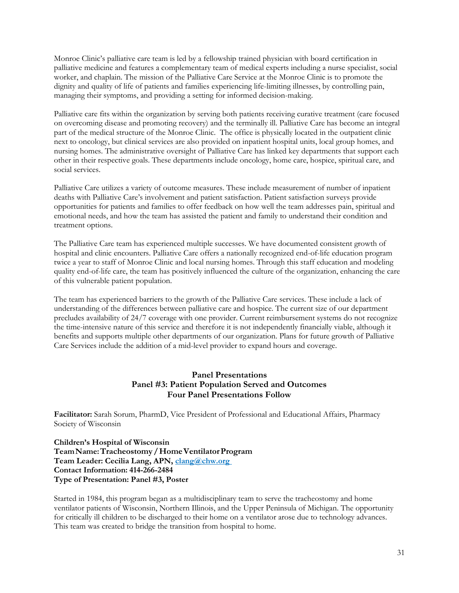Monroe Clinic's palliative care team is led by a fellowship trained physician with board certification in palliative medicine and features a complementary team of medical experts including a nurse specialist, social worker, and chaplain. The mission of the Palliative Care Service at the Monroe Clinic is to promote the dignity and quality of life of patients and families experiencing life-limiting illnesses, by controlling pain, managing their symptoms, and providing a setting for informed decision-making.

Palliative care fits within the organization by serving both patients receiving curative treatment (care focused on overcoming disease and promoting recovery) and the terminally ill. Palliative Care has become an integral part of the medical structure of the Monroe Clinic. The office is physically located in the outpatient clinic next to oncology, but clinical services are also provided on inpatient hospital units, local group homes, and nursing homes. The administrative oversight of Palliative Care has linked key departments that support each other in their respective goals. These departments include oncology, home care, hospice, spiritual care, and social services.

Palliative Care utilizes a variety of outcome measures. These include measurement of number of inpatient deaths with Palliative Care's involvement and patient satisfaction. Patient satisfaction surveys provide opportunities for patients and families to offer feedback on how well the team addresses pain, spiritual and emotional needs, and how the team has assisted the patient and family to understand their condition and treatment options.

The Palliative Care team has experienced multiple successes. We have documented consistent growth of hospital and clinic encounters. Palliative Care offers a nationally recognized end-of-life education program twice a year to staff of Monroe Clinic and local nursing homes. Through this staff education and modeling quality end-of-life care, the team has positively influenced the culture of the organization, enhancing the care of this vulnerable patient population.

The team has experienced barriers to the growth of the Palliative Care services. These include a lack of understanding of the differences between palliative care and hospice. The current size of our department precludes availability of 24/7 coverage with one provider. Current reimbursement systems do not recognize the time-intensive nature of this service and therefore it is not independently financially viable, although it benefits and supports multiple other departments of our organization. Plans for future growth of Palliative Care Services include the addition of a mid-level provider to expand hours and coverage.

# **Panel Presentations Panel #3: Patient Population Served and Outcomes Four Panel Presentations Follow**

**Facilitator:** Sarah Sorum, PharmD, Vice President of Professional and Educational Affairs, Pharmacy Society of Wisconsin

**Children's Hospital of Wisconsin TeamName:Tracheostomy/HomeVentilatorProgram Team Leader: Cecilia Lang, APN[, clang@chw.org](mailto:clang@chw.org) Contact Information: 414-266-2484 Type of Presentation: Panel #3, Poster**

Started in 1984, this program began as a multidisciplinary team to serve the tracheostomy and home ventilator patients of Wisconsin, Northern Illinois, and the Upper Peninsula of Michigan. The opportunity for critically ill children to be discharged to their home on a ventilator arose due to technology advances. This team was created to bridge the transition from hospital to home.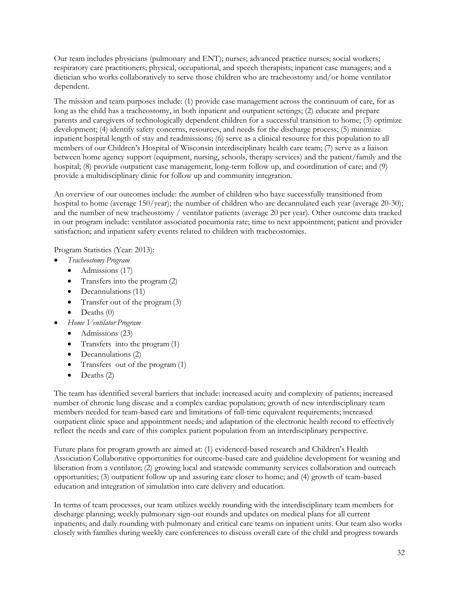Our team includes physicians (pulmonary and ENT); nurses; advanced practice nurses; social workers; respiratory care practitioners; physical, occupational, and speech therapists; inpatient case managers; and a dietician who works collaboratively to serve those children who are tracheostomy and/or home ventilator dependent.

The mission and team purposes include: (1) provide case management across the continuum of care, for as long as the child has a tracheostomy, in both inpatient and outpatient settings; (2) educate and prepare parents and caregivers of technologically dependent children for a successful transition to home; (3) optimize development; (4) identify safety concerns, resources, and needs for the discharge process; (5) minimize inpatient hospital length of stay and readmissions; (6) serve as a clinical resource for this population to all members of our Children's Hospital of Wisconsin interdisciplinary health care team; (7) serve as a liaison between home agency support (equipment, nursing, schools, therapy services) and the patient/family and the hospital; (8) provide outpatient case management, long-term follow up, and coordination of care; and (9) provide a multidisciplinary clinic for follow up and community integration.

An overview of our outcomes include: the *n*umber of children who have successfully transitioned from hospital to home (average 150/year); the number of children who are decannulated each year (average 20-30); and the number of new tracheostomy / ventilator patients (average 20 per year). Other outcome data tracked in our program include: ventilator associated pneumonia rate; time to next appointment; patient and provider satisfaction; and inpatient safety events related to children with tracheostomies.

Program Statistics (Year: 2013):

- *Tracheostomy Program*
	- $\bullet$  Admissions (17)
	- Transfers into the program (2)
	- Decannulations (11)
	- Transfer out of the program (3)
	- $\bullet$  Deaths  $(0)$
- *Home Ventilator Program*
	- $\bullet$  Admissions (23)
	- Transfers into the program (1)
	- Decannulations (2)
	- Transfers out of the program (1)
	- $\bullet$  Deaths (2)

The team has identified several barriers that include: increased acuity and complexity of patients; increased number of chronic lung disease and a complex cardiac population; growth of new interdisciplinary team members needed for team-based care and limitations of full-time equivalent requirements; increased outpatient clinic space and appointment needs; and adaptation of the electronic health record to effectively reflect the needs and care of this complex patient population from an interdisciplinary perspective.

Future plans for program growth are aimed at: (1) evidenced-based research and Children's Health Association Collaborative opportunities for outcome-based care and guideline development for weaning and liberation from a ventilator; (2) growing local and statewide community services collaboration and outreach opportunities; (3) outpatient follow up and assuring care closer to home; and (4) growth of team-based education and integration of simulation into care delivery and education.

In terms of team processes, our team utilizes weekly rounding with the interdisciplinary team members for discharge planning; weekly pulmonary sign-out rounds and updates on medical plans for all current inpatients; and daily rounding with pulmonary and critical care teams on inpatient units. Our team also works closely with families during weekly care conferences to discuss overall care of the child and progress towards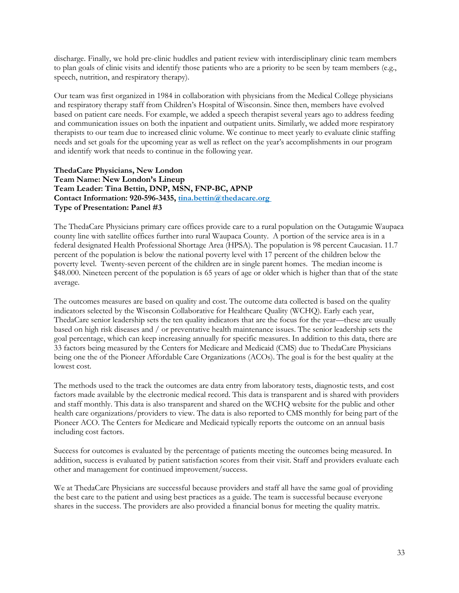discharge. Finally, we hold pre-clinic huddles and patient review with interdisciplinary clinic team members to plan goals of clinic visits and identify those patients who are a priority to be seen by team members (e.g., speech, nutrition, and respiratory therapy).

Our team was first organized in 1984 in collaboration with physicians from the Medical College physicians and respiratory therapy staff from Children's Hospital of Wisconsin. Since then, members have evolved based on patient care needs. For example, we added a speech therapist several years ago to address feeding and communication issues on both the inpatient and outpatient units. Similarly, we added more respiratory therapists to our team due to increased clinic volume. We continue to meet yearly to evaluate clinic staffing needs and set goals for the upcoming year as well as reflect on the year's accomplishments in our program and identify work that needs to continue in the following year.

#### **ThedaCare Physicians, New London Team Name: New London's Lineup Team Leader: Tina Bettin, DNP, MSN, FNP-BC, APNP Contact Information: 920-596-3435[, tina.bettin@thedacare.org](mailto:tina.bettin@thedacare.org) Type of Presentation: Panel #3**

The ThedaCare Physicians primary care offices provide care to a rural population on the Outagamie Waupaca county line with satellite offices further into rural Waupaca County. A portion of the service area is in a federal designated Health Professional Shortage Area (HPSA). The population is 98 percent Caucasian. 11.7 percent of the population is below the national poverty level with 17 percent of the children below the poverty level. Twenty-seven percent of the children are in single parent homes. The median income is \$48.000. Nineteen percent of the population is 65 years of age or older which is higher than that of the state average.

The outcomes measures are based on quality and cost. The outcome data collected is based on the quality indicators selected by the Wisconsin Collaborative for Healthcare Quality (WCHQ). Early each year, ThedaCare senior leadership sets the ten quality indicators that are the focus for the year—these are usually based on high risk diseases and / or preventative health maintenance issues. The senior leadership sets the goal percentage, which can keep increasing annually for specific measures. In addition to this data, there are 33 factors being measured by the Centers for Medicare and Medicaid (CMS) due to ThedaCare Physicians being one the of the Pioneer Affordable Care Organizations (ACOs). The goal is for the best quality at the lowest cost.

The methods used to the track the outcomes are data entry from laboratory tests, diagnostic tests, and cost factors made available by the electronic medical record. This data is transparent and is shared with providers and staff monthly. This data is also transparent and shared on the WCHQ website for the public and other health care organizations/providers to view. The data is also reported to CMS monthly for being part of the Pioneer ACO. The Centers for Medicare and Medicaid typically reports the outcome on an annual basis including cost factors.

Success for outcomes is evaluated by the percentage of patients meeting the outcomes being measured. In addition, success is evaluated by patient satisfaction scores from their visit. Staff and providers evaluate each other and management for continued improvement/success.

We at ThedaCare Physicians are successful because providers and staff all have the same goal of providing the best care to the patient and using best practices as a guide. The team is successful because everyone shares in the success. The providers are also provided a financial bonus for meeting the quality matrix.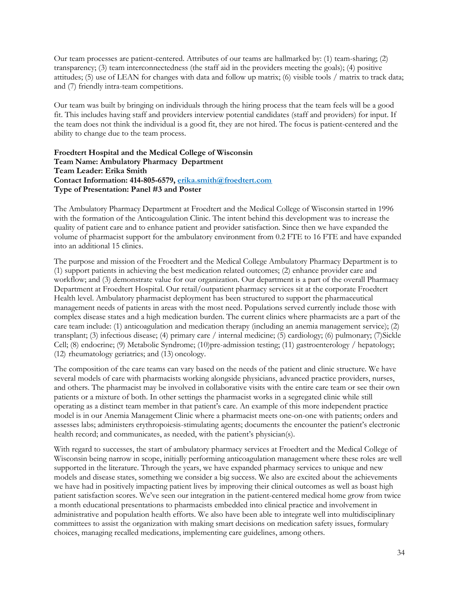Our team processes are patient-centered. Attributes of our teams are hallmarked by: (1) team-sharing; (2) transparency; (3) team interconnectedness (the staff aid in the providers meeting the goals); (4) positive attitudes; (5) use of LEAN for changes with data and follow up matrix; (6) visible tools / matrix to track data; and (7) friendly intra-team competitions.

Our team was built by bringing on individuals through the hiring process that the team feels will be a good fit. This includes having staff and providers interview potential candidates (staff and providers) for input. If the team does not think the individual is a good fit, they are not hired. The focus is patient-centered and the ability to change due to the team process.

**Froedtert Hospital and the Medical College of Wisconsin Team Name: Ambulatory Pharmacy Department Team Leader: Erika Smith Contact Information: 414-805-6579, [erika.smith@froedtert.com](mailto:erika.smith@froedtert.com) Type of Presentation: Panel #3 and Poster**

The Ambulatory Pharmacy Department at Froedtert and the Medical College of Wisconsin started in 1996 with the formation of the Anticoagulation Clinic. The intent behind this development was to increase the quality of patient care and to enhance patient and provider satisfaction. Since then we have expanded the volume of pharmacist support for the ambulatory environment from 0.2 FTE to 16 FTE and have expanded into an additional 15 clinics.

The purpose and mission of the Froedtert and the Medical College Ambulatory Pharmacy Department is to (1) support patients in achieving the best medication related outcomes; (2) enhance provider care and workflow; and (3) demonstrate value for our organization. Our department is a part of the overall Pharmacy Department at Froedtert Hospital. Our retail/outpatient pharmacy services sit at the corporate Froedtert Health level. Ambulatory pharmacist deployment has been structured to support the pharmaceutical management needs of patients in areas with the most need. Populations served currently include those with complex disease states and a high medication burden. The current clinics where pharmacists are a part of the care team include: (1) anticoagulation and medication therapy (including an anemia management service); (2) transplant; (3) infectious disease; (4) primary care / internal medicine; (5) cardiology; (6) pulmonary; (7)Sickle Cell; (8) endocrine; (9) Metabolic Syndrome; (10)pre-admission testing; (11) gastroenterology / hepatology; (12) rheumatology geriatrics; and (13) oncology.

The composition of the care teams can vary based on the needs of the patient and clinic structure. We have several models of care with pharmacists working alongside physicians, advanced practice providers, nurses, and others. The pharmacist may be involved in collaborative visits with the entire care team or see their own patients or a mixture of both. In other settings the pharmacist works in a segregated clinic while still operating as a distinct team member in that patient's care. An example of this more independent practice model is in our Anemia Management Clinic where a pharmacist meets one-on-one with patients; orders and assesses labs; administers erythropoiesis-stimulating agents; documents the encounter the patient's electronic health record; and communicates, as needed, with the patient's physician(s).

With regard to successes, the start of ambulatory pharmacy services at Froedtert and the Medical College of Wisconsin being narrow in scope, initially performing anticoagulation management where these roles are well supported in the literature. Through the years, we have expanded pharmacy services to unique and new models and disease states, something we consider a big success. We also are excited about the achievements we have had in positively impacting patient lives by improving their clinical outcomes as well as boast high patient satisfaction scores. We've seen our integration in the patient-centered medical home grow from twice a month educational presentations to pharmacists embedded into clinical practice and involvement in administrative and population health efforts. We also have been able to integrate well into multidisciplinary committees to assist the organization with making smart decisions on medication safety issues, formulary choices, managing recalled medications, implementing care guidelines, among others.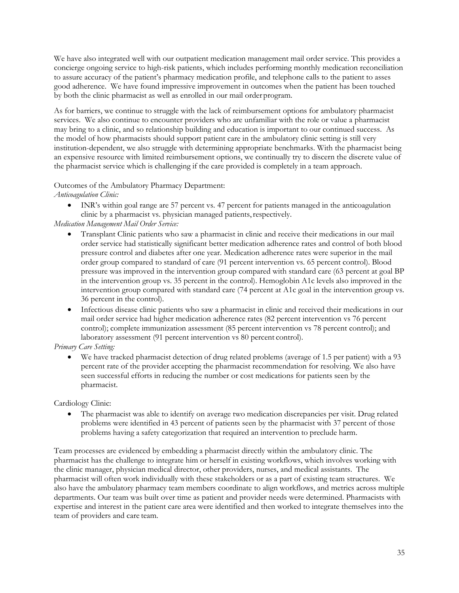We have also integrated well with our outpatient medication management mail order service. This provides a concierge ongoing service to high-risk patients, which includes performing monthly medication reconciliation to assure accuracy of the patient's pharmacy medication profile, and telephone calls to the patient to asses good adherence. We have found impressive improvement in outcomes when the patient has been touched by both the clinic pharmacist as well as enrolled in our mail orderprogram.

As for barriers, we continue to struggle with the lack of reimbursement options for ambulatory pharmacist services. We also continue to encounter providers who are unfamiliar with the role or value a pharmacist may bring to a clinic, and so relationship building and education is important to our continued success. As the model of how pharmacists should support patient care in the ambulatory clinic setting is still very institution-dependent, we also struggle with determining appropriate benchmarks. With the pharmacist being an expensive resource with limited reimbursement options, we continually try to discern the discrete value of the pharmacist service which is challenging if the care provided is completely in a team approach.

## Outcomes of the Ambulatory Pharmacy Department:

*Anticoagulation Clinic:*

 INR's within goal range are 57 percent vs. 47 percent for patients managed in the anticoagulation clinic by a pharmacist vs. physician managed patients, respectively.

## *Medication Management Mail Order Service:*

- Transplant Clinic patients who saw a pharmacist in clinic and receive their medications in our mail order service had statistically significant better medication adherence rates and control of both blood pressure control and diabetes after one year. Medication adherence rates were superior in the mail order group compared to standard of care (91 percent intervention vs. 65 percent control). Blood pressure was improved in the intervention group compared with standard care (63 percent at goal BP in the intervention group vs. 35 percent in the control). Hemoglobin A1c levels also improved in the intervention group compared with standard care (74 percent at A1c goal in the intervention group vs. 36 percent in the control).
- Infectious disease clinic patients who saw a pharmacist in clinic and received their medications in our mail order service had higher medication adherence rates (82 percent intervention vs 76 percent control); complete immunization assessment (85 percent intervention vs 78 percent control); and laboratory assessment (91 percent intervention vs 80 percent control).

## *Primary Care Setting:*

 We have tracked pharmacist detection of drug related problems (average of 1.5 per patient) with a 93 percent rate of the provider accepting the pharmacist recommendation for resolving. We also have seen successful efforts in reducing the number or cost medications for patients seen by the pharmacist.

## Cardiology Clinic:

 The pharmacist was able to identify on average two medication discrepancies per visit. Drug related problems were identified in 43 percent of patients seen by the pharmacist with 37 percent of those problems having a safety categorization that required an intervention to preclude harm.

Team processes are evidenced by embedding a pharmacist directly within the ambulatory clinic. The pharmacist has the challenge to integrate him or herself in existing workflows, which involves working with the clinic manager, physician medical director, other providers, nurses, and medical assistants. The pharmacist will often work individually with these stakeholders or as a part of existing team structures. We also have the ambulatory pharmacy team members coordinate to align workflows, and metrics across multiple departments. Our team was built over time as patient and provider needs were determined. Pharmacists with expertise and interest in the patient care area were identified and then worked to integrate themselves into the team of providers and care team.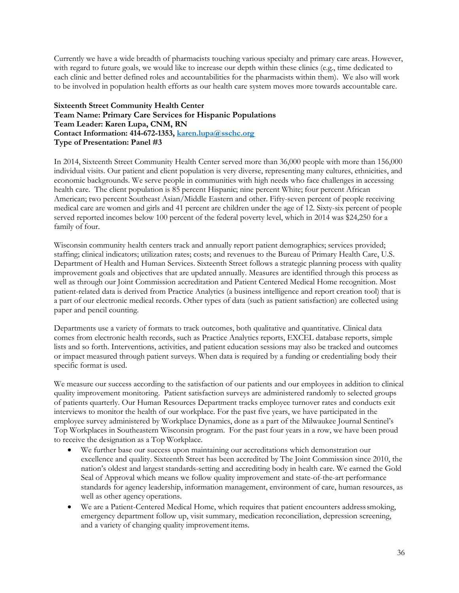Currently we have a wide breadth of pharmacists touching various specialty and primary care areas. However, with regard to future goals, we would like to increase our depth within these clinics (e.g., time dedicated to each clinic and better defined roles and accountabilities for the pharmacists within them). We also will work to be involved in population health efforts as our health care system moves more towards accountable care.

## **Sixteenth Street Community Health Center Team Name: Primary Care Services for Hispanic Populations Team Leader: Karen Lupa, CNM, RN Contact Information: 414-672-1353, [karen.lupa@sschc.org](mailto:karen.lupa@sschc.org) Type of Presentation: Panel #3**

In 2014, Sixteenth Street Community Health Center served more than 36,000 people with more than 156,000 individual visits. Our patient and client population is very diverse, representing many cultures, ethnicities, and economic backgrounds. We serve people in communities with high needs who face challenges in accessing health care. The client population is 85 percent Hispanic; nine percent White; four percent African American; two percent Southeast Asian/Middle Eastern and other. Fifty-seven percent of people receiving medical care are women and girls and 41 percent are children under the age of 12. Sixty-six percent of people served reported incomes below 100 percent of the federal poverty level, which in 2014 was \$24,250 for a family of four.

Wisconsin community health centers track and annually report patient demographics; services provided; staffing; clinical indicators; utilization rates; costs; and revenues to the Bureau of Primary Health Care, U.S. Department of Health and Human Services. Sixteenth Street follows a strategic planning process with quality improvement goals and objectives that are updated annually. Measures are identified through this process as well as through our Joint Commission accreditation and Patient Centered Medical Home recognition. Most patient-related data is derived from Practice Analytics (a business intelligence and report creation tool) that is a part of our electronic medical records. Other types of data (such as patient satisfaction) are collected using paper and pencil counting.

Departments use a variety of formats to track outcomes, both qualitative and quantitative. Clinical data comes from electronic health records, such as Practice Analytics reports, EXCEL database reports, simple lists and so forth. Interventions, activities, and patient education sessions may also be tracked and outcomes or impact measured through patient surveys. When data is required by a funding or credentialing body their specific format is used.

We measure our success according to the satisfaction of our patients and our employees in addition to clinical quality improvement monitoring. Patient satisfaction surveys are administered randomly to selected groups of patients quarterly. Our Human Resources Department tracks employee turnover rates and conducts exit interviews to monitor the health of our workplace. For the past five years, we have participated in the employee survey administered by Workplace Dynamics, done as a part of the Milwaukee Journal Sentinel's Top Workplaces in Southeastern Wisconsin program. For the past four years in a row, we have been proud to receive the designation as a Top Workplace.

- We further base our success upon maintaining our accreditations which demonstration our excellence and quality. Sixteenth Street has been accredited by The Joint Commission since 2010, the nation's oldest and largest standards-setting and accrediting body in health care. We earned the Gold Seal of Approval which means we follow quality improvement and state-of-the-art performance standards for agency leadership, information management, environment of care, human resources, as well as other agency operations.
- We are a Patient-Centered Medical Home, which requires that patient encounters addresssmoking, emergency department follow up, visit summary, medication reconciliation, depression screening, and a variety of changing quality improvement items.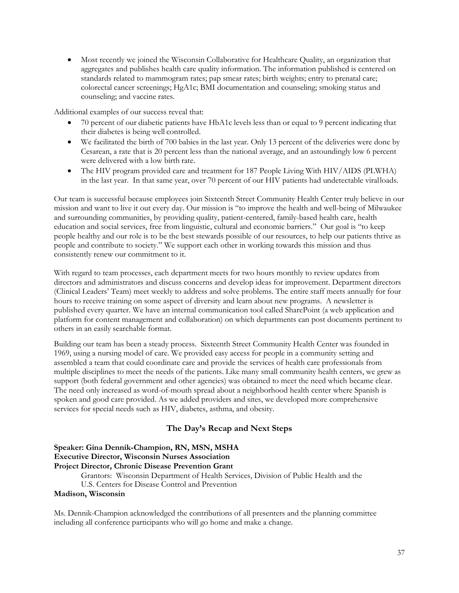Most recently we joined the Wisconsin Collaborative for Healthcare Quality, an organization that aggregates and publishes health care quality information. The information published is centered on standards related to mammogram rates; pap smear rates; birth weights; entry to prenatal care; colorectal cancer screenings; HgA1c; BMI documentation and counseling; smoking status and counseling; and vaccine rates.

Additional examples of our success reveal that:

- 70 percent of our diabetic patients have HbA1c levels less than or equal to 9 percent indicating that their diabetes is being well controlled.
- We facilitated the birth of 700 babies in the last year. Only 13 percent of the deliveries were done by Cesarean, a rate that is 20 percent less than the national average, and an astoundingly low 6 percent were delivered with a low birth rate.
- The HIV program provided care and treatment for 187 People Living With HIV/AIDS (PLWHA) in the last year. In that same year, over 70 percent of our HIV patients had undetectable viralloads.

Our team is successful because employees join Sixteenth Street Community Health Center truly believe in our mission and want to live it out every day. Our mission is "to improve the health and well-being of Milwaukee and surrounding communities, by providing quality, patient-centered, family-based health care, health education and social services, free from linguistic, cultural and economic barriers." Our goal is "to keep people healthy and our role is to be the best stewards possible of our resources, to help our patients thrive as people and contribute to society." We support each other in working towards this mission and thus consistently renew our commitment to it.

With regard to team processes, each department meets for two hours monthly to review updates from directors and administrators and discuss concerns and develop ideas for improvement. Department directors (Clinical Leaders' Team) meet weekly to address and solve problems. The entire staff meets annually for four hours to receive training on some aspect of diversity and learn about new programs. A newsletter is published every quarter. We have an internal communication tool called SharePoint (a web application and platform for content management and collaboration) on which departments can post documents pertinent to others in an easily searchable format.

Building our team has been a steady process. Sixteenth Street Community Health Center was founded in 1969, using a nursing model of care. We provided easy access for people in a community setting and assembled a team that could coordinate care and provide the services of health care professionals from multiple disciplines to meet the needs of the patients. Like many small community health centers, we grew as support (both federal government and other agencies) was obtained to meet the need which became clear. The need only increased as word-of-mouth spread about a neighborhood health center where Spanish is spoken and good care provided. As we added providers and sites, we developed more comprehensive services for special needs such as HIV, diabetes, asthma, and obesity.

# **The Day's Recap and Next Steps**

## **Speaker: Gina Dennik-Champion, RN, MSN, MSHA Executive Director, Wisconsin Nurses Association Project Director, Chronic Disease Prevention Grant**

Grantors: Wisconsin Department of Health Services, Division of Public Health and the

U.S. Centers for Disease Control and Prevention

## **Madison, Wisconsin**

Ms. Dennik-Champion acknowledged the contributions of all presenters and the planning committee including all conference participants who will go home and make a change.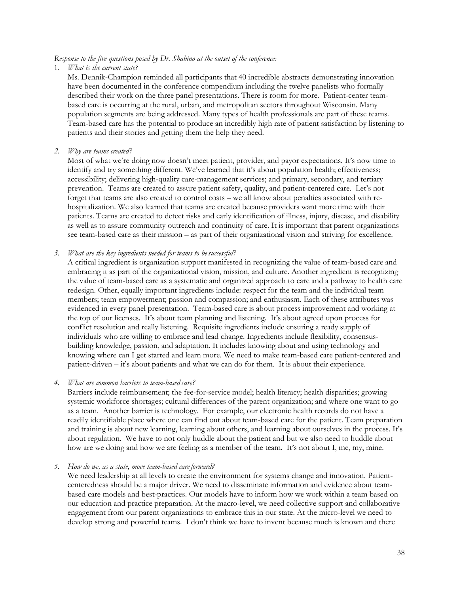#### *Response to the five questions posed by Dr. Shabino at the outset of the conference:*

#### 1. *What is the current state?*

Ms. Dennik-Champion reminded all participants that 40 incredible abstracts demonstrating innovation have been documented in the conference compendium including the twelve panelists who formally described their work on the three panel presentations. There is room for more. Patient-center teambased care is occurring at the rural, urban, and metropolitan sectors throughout Wisconsin. Many population segments are being addressed. Many types of health professionals are part of these teams. Team-based care has the potential to produce an incredibly high rate of patient satisfaction by listening to patients and their stories and getting them the help they need.

## *2. Why are teams created?*

Most of what we're doing now doesn't meet patient, provider, and payor expectations. It's now time to identify and try something different. We've learned that it's about population health; effectiveness; accessibility; delivering high-quality care-management services; and primary, secondary, and tertiary prevention. Teams are created to assure patient safety, quality, and patient-centered care. Let's not forget that teams are also created to control costs – we all know about penalties associated with rehospitalization. We also learned that teams are created because providers want more time with their patients. Teams are created to detect risks and early identification of illness, injury, disease, and disability as well as to assure community outreach and continuity of care. It is important that parent organizations see team-based care as their mission – as part of their organizational vision and striving for excellence.

## *3. What are the key ingredients needed for teams to besuccessful?*

A critical ingredient is organization support manifested in recognizing the value of team-based care and embracing it as part of the organizational vision, mission, and culture. Another ingredient is recognizing the value of team-based care as a systematic and organized approach to care and a pathway to health care redesign. Other, equally important ingredients include: respect for the team and the individual team members; team empowerment; passion and compassion; and enthusiasm. Each of these attributes was evidenced in every panel presentation. Team-based care is about process improvement and working at the top of our licenses. It's about team planning and listening. It's about agreed upon process for conflict resolution and really listening. Requisite ingredients include ensuring a ready supply of individuals who are willing to embrace and lead change. Ingredients include flexibility, consensusbuilding knowledge, passion, and adaptation. It includes knowing about and using technology and knowing where can I get started and learn more. We need to make team-based care patient-centered and patient-driven – it's about patients and what we can do for them. It is about their experience.

## *4. What are common barriers to team-based care?*

Barriers include reimbursement; the fee-for-service model; health literacy; health disparities; growing systemic workforce shortages; cultural differences of the parent organization; and where one want to go as a team. Another barrier is technology. For example, our electronic health records do not have a readily identifiable place where one can find out about team-based care for the patient. Team preparation and training is about new learning, learning about others, and learning about ourselves in the process. It's about regulation. We have to not only huddle about the patient and but we also need to huddle about how are we doing and how we are feeling as a member of the team. It's not about I, me, my, mine.

## *5. How do we, as a state, move team-based care forward?*

We need leadership at all levels to create the environment for systems change and innovation. Patientcenteredness should be a major driver. We need to disseminate information and evidence about teambased care models and best-practices. Our models have to inform how we work within a team based on our education and practice preparation. At the macro-level, we need collective support and collaborative engagement from our parent organizations to embrace this in our state. At the micro-level we need to develop strong and powerful teams. I don't think we have to invent because much is known and there